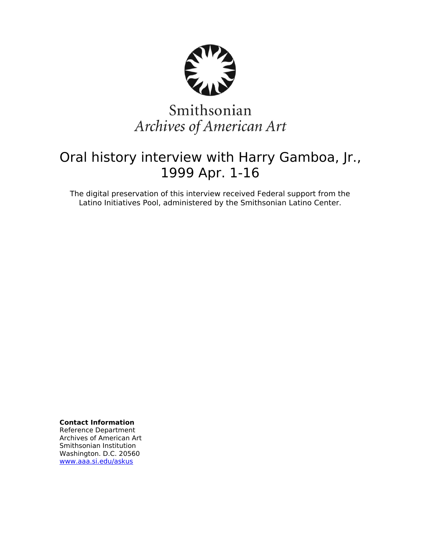

# Smithsonian Archives of American Art

# Oral history interview with Harry Gamboa, Jr., 1999 Apr. 1-16

The digital preservation of this interview received Federal support from the Latino Initiatives Pool, administered by the Smithsonian Latino Center.

**Contact Information**

Reference Department Archives of American Art Smithsonian Institution Washington. D.C. 20560 [www.aaa.si.edu/askus](http://www.aaa.si.edu/askus)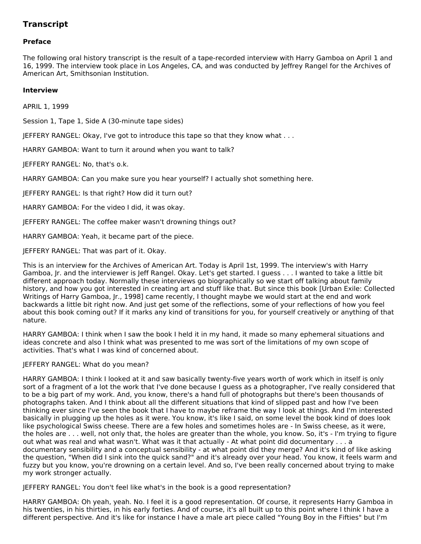# **Transcript**

# **Preface**

The following oral history transcript is the result of a tape-recorded interview with Harry Gamboa on April 1 and 16, 1999. The interview took place in Los Angeles, CA, and was conducted by Jeffrey Rangel for the Archives of American Art, Smithsonian Institution.

# **Interview**

APRIL 1, 1999

Session 1, Tape 1, Side A (30-minute tape sides)

JEFFERY RANGEL: Okay, I've got to introduce this tape so that they know what . . .

HARRY GAMBOA: Want to turn it around when you want to talk?

JEFFERY RANGEL: No, that's o.k.

HARRY GAMBOA: Can you make sure you hear yourself? I actually shot something here.

JEFFERY RANGEL: Is that right? How did it turn out?

HARRY GAMBOA: For the video I did, it was okay.

JEFFERY RANGEL: The coffee maker wasn't drowning things out?

HARRY GAMBOA: Yeah, it became part of the piece.

JEFFERY RANGEL: That was part of it. Okay.

This is an interview for the Archives of American Art. Today is April 1st, 1999. The interview's with Harry Gamboa, Jr. and the interviewer is Jeff Rangel. Okay. Let's get started. I guess . . . I wanted to take a little bit different approach today. Normally these interviews go biographically so we start off talking about family history, and how you got interested in creating art and stuff like that. But since this book [Urban Exile: Collected Writings of Harry Gamboa, Jr., 1998] came recently, I thought maybe we would start at the end and work backwards a little bit right now. And just get some of the reflections, some of your reflections of how you feel about this book coming out? If it marks any kind of transitions for you, for yourself creatively or anything of that nature.

HARRY GAMBOA: I think when I saw the book I held it in my hand, it made so many ephemeral situations and ideas concrete and also I think what was presented to me was sort of the limitations of my own scope of activities. That's what I was kind of concerned about.

#### JEFFERY RANGEL: What do you mean?

HARRY GAMBOA: I think I looked at it and saw basically twenty-five years worth of work which in itself is only sort of a fragment of a lot the work that I've done because I guess as a photographer, I've really considered that to be a big part of my work. And, you know, there's a hand full of photographs but there's been thousands of photographs taken. And I think about all the different situations that kind of slipped past and how I've been thinking ever since I've seen the book that I have to maybe reframe the way I look at things. And I'm interested basically in plugging up the holes as it were. You know, it's like I said, on some level the book kind of does look like psychological Swiss cheese. There are a few holes and sometimes holes are - In Swiss cheese, as it were, the holes are . . . well, not only that, the holes are greater than the whole, you know. So, it's - I'm trying to figure out what was real and what wasn't. What was it that actually - At what point did documentary . . . a documentary sensibility and a conceptual sensibility - at what point did they merge? And it's kind of like asking the question, "When did I sink into the quick sand?" and it's already over your head. You know, it feels warm and fuzzy but you know, you're drowning on a certain level. And so, I've been really concerned about trying to make my work stronger actually.

JEFFERY RANGEL: You don't feel like what's in the book is a good representation?

HARRY GAMBOA: Oh yeah, yeah. No. I feel it is a good representation. Of course, it represents Harry Gamboa in his twenties, in his thirties, in his early forties. And of course, it's all built up to this point where I think I have a different perspective. And it's like for instance I have a male art piece called "Young Boy in the Fifties" but I'm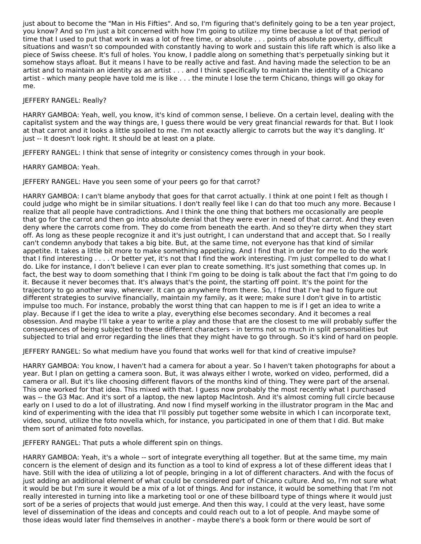just about to become the "Man in His Fifties". And so, I'm figuring that's definitely going to be a ten year project, you know? And so I'm just a bit concerned with how I'm going to utilize my time because a lot of that period of time that I used to put that work in was a lot of free time, or absolute . . . points of absolute poverty, difficult situations and wasn't so compounded with constantly having to work and sustain this life raft which is also like a piece of Swiss cheese. It's full of holes. You know, I paddle along on something that's perpetually sinking but it somehow stays afloat. But it means I have to be really active and fast. And having made the selection to be an artist and to maintain an identity as an artist . . . and I think specifically to maintain the identity of a Chicano artist - which many people have told me is like . . . the minute I lose the term Chicano, things will go okay for me.

# JEFFERY RANGEL: Really?

HARRY GAMBOA: Yeah, well, you know, it's kind of common sense, I believe. On a certain level, dealing with the capitalist system and the way things are, I guess there would be very great financial rewards for that. But I look at that carrot and it looks a little spoiled to me. I'm not exactly allergic to carrots but the way it's dangling. It' just -- It doesn't look right. It should be at least on a plate.

JEFFERY RANGEL: I think that sense of integrity or consistency comes through in your book.

HARRY GAMBOA: Yeah.

JEFFERY RANGEL: Have you seen some of your peers go for that carrot?

HARRY GAMBOA: I can't blame anybody that goes for that carrot actually. I think at one point I felt as though I could judge who might be in similar situations. I don't really feel like I can do that too much any more. Because I realize that all people have contradictions. And I think the one thing that bothers me occasionally are people that go for the carrot and then go into absolute denial that they were ever in need of that carrot. And they even deny where the carrots come from. They do come from beneath the earth. And so they're dirty when they start off. As long as these people recognize it and it's just outright, I can understand that and accept that. So I really can't condemn anybody that takes a big bite. But, at the same time, not everyone has that kind of similar appetite. It takes a little bit more to make something appetizing. And I find that in order for me to do the work that I find interesting . . . . Or better yet, it's not that I find the work interesting. I'm just compelled to do what I do. Like for instance, I don't believe I can ever plan to create something. It's just something that comes up. In fact, the best way to doom something that I think I'm going to be doing is talk about the fact that I'm going to do it. Because it never becomes that. It's always that's the point, the starting off point. It's the point for the trajectory to go another way, wherever. It can go anywhere from there. So, I find that I've had to figure out different strategies to survive financially, maintain my family, as it were; make sure I don't give in to artistic impulse too much. For instance, probably the worst thing that can happen to me is if I get an idea to write a play. Because if I get the idea to write a play, everything else becomes secondary. And it becomes a real obsession. And maybe I'll take a year to write a play and those that are the closest to me will probably suffer the consequences of being subjected to these different characters - in terms not so much in split personalities but subjected to trial and error regarding the lines that they might have to go through. So it's kind of hard on people.

JEFFERY RANGEL: So what medium have you found that works well for that kind of creative impulse?

HARRY GAMBOA: You know, I haven't had a camera for about a year. So I haven't taken photographs for about a year. But I plan on getting a camera soon. But, it was always either I wrote, worked on video, performed, did a camera or all. But it's like choosing different flavors of the months kind of thing. They were part of the arsenal. This one worked for that idea. This mixed with that. I guess now probably the most recently what I purchased was -- the G3 Mac. And it's sort of a laptop, the new laptop MacIntosh. And it's almost coming full circle because early on I used to do a lot of illustrating. And now I find myself working in the illustrator program in the Mac and kind of experimenting with the idea that I'll possibly put together some website in which I can incorporate text, video, sound, utilize the foto novella which, for instance, you participated in one of them that I did. But make them sort of animated foto novellas.

JEFFERY RANGEL: That puts a whole different spin on things.

HARRY GAMBOA: Yeah, it's a whole -- sort of integrate everything all together. But at the same time, my main concern is the element of design and its function as a tool to kind of express a lot of these different ideas that I have. Still with the idea of utilizing a lot of people, bringing in a lot of different characters. And with the focus of just adding an additional element of what could be considered part of Chicano culture. And so, I'm not sure what it would be but I'm sure it would be a mix of a lot of things. And for instance, it would be something that I'm not really interested in turning into like a marketing tool or one of these billboard type of things where it would just sort of be a series of projects that would just emerge. And then this way, I could at the very least, have some level of dissemination of the ideas and concepts and could reach out to a lot of people. And maybe some of those ideas would later find themselves in another - maybe there's a book form or there would be sort of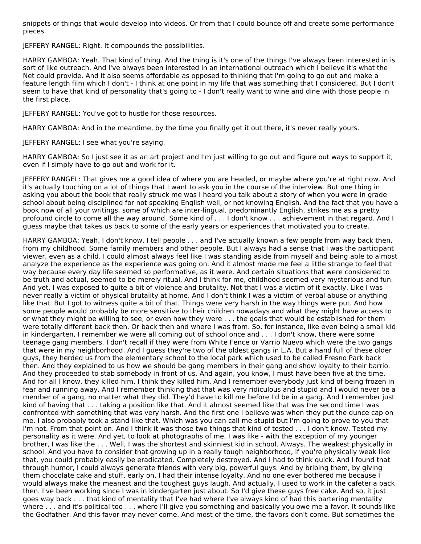snippets of things that would develop into videos. Or from that I could bounce off and create some performance pieces.

JEFFERY RANGEL: Right. It compounds the possibilities.

HARRY GAMBOA: Yeah. That kind of thing. And the thing is it's one of the things I've always been interested in is sort of like outreach. And I've always been interested in an international outreach which I believe it's what the Net could provide. And it also seems affordable as opposed to thinking that I'm going to go out and make a feature length film which I don't - I think at one point in my life that was something that I considered. But I don't seem to have that kind of personality that's going to - I don't really want to wine and dine with those people in the first place.

JEFFERY RANGEL: You've got to hustle for those resources.

HARRY GAMBOA: And in the meantime, by the time you finally get it out there, it's never really yours.

JEFFERY RANGEL: I see what you're saying.

HARRY GAMBOA: So I just see it as an art project and I'm just willing to go out and figure out ways to support it, even if I simply have to go out and work for it.

JEFFERY RANGEL: That gives me a good idea of where you are headed, or maybe where you're at right now. And it's actually touching on a lot of things that I want to ask you in the course of the interview. But one thing in asking you about the book that really struck me was I heard you talk about a story of when you were in grade school about being disciplined for not speaking English well, or not knowing English. And the fact that you have a book now of all your writings, some of which are inter-lingual, predominantly English, strikes me as a pretty profound circle to come all the way around. Some kind of . . . I don't know . . . achievement in that regard. And I guess maybe that takes us back to some of the early years or experiences that motivated you to create.

HARRY GAMBOA: Yeah, I don't know. I tell people . . . and I've actually known a few people from way back then, from my childhood. Some family members and other people. But I always had a sense that I was the participant viewer, even as a child. I could almost always feel like I was standing aside from myself and being able to almost analyze the experience as the experience was going on. And it almost made me feel a little strange to feel that way because every day life seemed so performative, as it were. And certain situations that were considered to be truth and actual, seemed to be merely ritual. And I think for me, childhood seemed very mysterious and fun. And yet, I was exposed to quite a bit of violence and brutality. Not that I was a victim of it exactly. Like I was never really a victim of physical brutality at home. And I don't think I was a victim of verbal abuse or anything like that. But I got to witness quite a bit of that. Things were very harsh in the way things were put. And how some people would probably be more sensitive to their children nowadays and what they might have access to or what they might be willing to see, or even how they were . . . the goals that would be established for them were totally different back then. Or back then and where I was from. So, for instance, like even being a small kid in kindergarten, I remember we were all coming out of school once and . . . I don't know, there were some teenage gang members. I don't recall if they were from White Fence or Varrio Nuevo which were the two gangs that were in my neighborhood. And I guess they're two of the oldest gangs in L.A. But a hand full of these older guys, they herded us from the elementary school to the local park which used to be called Fresno Park back then. And they explained to us how we should be gang members in their gang and show loyalty to their barrio. And they proceeded to stab somebody in front of us. And again, you know, I must have been five at the time. And for all I know, they killed him. I think they killed him. And I remember everybody just kind of being frozen in fear and running away. And I remember thinking that that was very ridiculous and stupid and I would never be a member of a gang, no matter what they did. They'd have to kill me before I'd be in a gang. And I remember just kind of having that . . . taking a position like that. And it almost seemed like that was the second time I was confronted with something that was very harsh. And the first one I believe was when they put the dunce cap on me. I also probably took a stand like that. Which was you can call me stupid but I'm going to prove to you that I'm not. From that point on. And I think it was those two things that kind of tested . . . I don't know. Tested my personality as it were. And yet, to look at photographs of me, I was like - with the exception of my younger brother, I was like the . . . Well, I was the shortest and skinniest kid in school. Always. The weakest physically in school. And you have to consider that growing up in a really tough neighborhood, if you're physically weak like that, you could probably easily be eradicated. Completely destroyed. And I had to think quick. And I found that through humor, I could always generate friends with very big, powerful guys. And by bribing them, by giving them chocolate cake and stuff, early on, I had their intense loyalty. And no one ever bothered me because I would always make the meanest and the toughest guys laugh. And actually, I used to work in the cafeteria back then. I've been working since I was in kindergarten just about. So I'd give these guys free cake. And so, it just goes way back . . . that kind of mentality that I've had where I've always kind of had this bartering mentality where . . . and it's political too . . . where I'll give you something and basically you owe me a favor. It sounds like the Godfather. And this favor may never come. And most of the time, the favors don't come. But sometimes the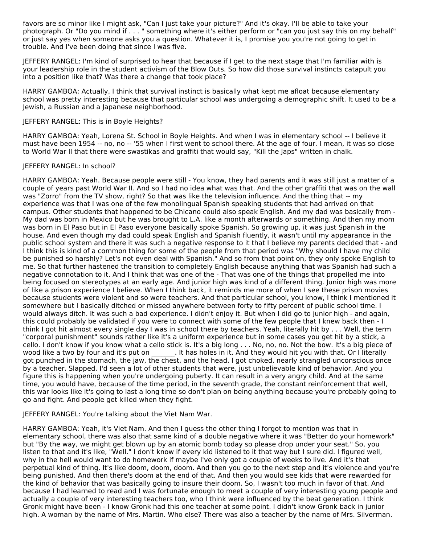favors are so minor like I might ask, "Can I just take your picture?" And it's okay. I'll be able to take your photograph. Or "Do you mind if . . . " something where it's either perform or "can you just say this on my behalf" or just say yes when someone asks you a question. Whatever it is, I promise you you're not going to get in trouble. And I've been doing that since I was five.

JEFFERY RANGEL: I'm kind of surprised to hear that because if I get to the next stage that I'm familiar with is your leadership role in the student activism of the Blow Outs. So how did those survival instincts catapult you into a position like that? Was there a change that took place?

HARRY GAMBOA: Actually, I think that survival instinct is basically what kept me afloat because elementary school was pretty interesting because that particular school was undergoing a demographic shift. It used to be a Jewish, a Russian and a Japanese neighborhood.

#### JEFFERY RANGEL: This is in Boyle Heights?

HARRY GAMBOA: Yeah, Lorena St. School in Boyle Heights. And when I was in elementary school -- I believe it must have been 1954 -- no, no -- '55 when I first went to school there. At the age of four. I mean, it was so close to World War II that there were swastikas and graffiti that would say, "Kill the Japs" written in chalk.

# JEFFERY RANGEL: In school?

HARRY GAMBOA: Yeah. Because people were still - You know, they had parents and it was still just a matter of a couple of years past World War II. And so I had no idea what was that. And the other graffiti that was on the wall was "Zorro" from the TV show, right? So that was like the television influence. And the thing that -- my experience was that I was one of the few monolingual Spanish speaking students that had arrived on that campus. Other students that happened to be Chicano could also speak English. And my dad was basically from - My dad was born in Mexico but he was brought to L.A. like a month afterwards or something. And then my mom was born in El Paso but in El Paso everyone basically spoke Spanish. So growing up, it was just Spanish in the house. And even though my dad could speak English and Spanish fluently, it wasn't until my appearance in the public school system and there it was such a negative response to it that I believe my parents decided that - and I think this is kind of a common thing for some of the people from that period was "Why should I have my child be punished so harshly? Let's not even deal with Spanish." And so from that point on, they only spoke English to me. So that further hastened the transition to completely English because anything that was Spanish had such a negative connotation to it. And I think that was one of the - That was one of the things that propelled me into being focused on stereotypes at an early age. And junior high was kind of a different thing. Junior high was more of like a prison experience I believe. When I think back, it reminds me more of when I see these prison movies because students were violent and so were teachers. And that particular school, you know, I think I mentioned it somewhere but I basically ditched or missed anywhere between forty to fifty percent of public school time. I would always ditch. It was such a bad experience. I didn't enjoy it. But when I did go to junior high - and again, this could probably be validated if you were to connect with some of the few people that I knew back then - I think I got hit almost every single day I was in school there by teachers. Yeah, literally hit by . . . Well, the term "corporal punishment" sounds rather like it's a uniform experience but in some cases you get hit by a stick, a cello. I don't know if you know what a cello stick is. It's a big long . . . No, no, no. Not the bow. It's a big piece of wood like a two by four and it's put on \_\_\_\_\_\_\_. It has holes in it. And they would hit you with that. Or I literally got punched in the stomach, the jaw, the chest, and the head. I got choked, nearly strangled unconscious once by a teacher. Slapped. I'd seen a lot of other students that were, just unbelievable kind of behavior. And you figure this is happening when you're undergoing puberty. It can result in a very angry child. And at the same time, you would have, because of the time period, in the seventh grade, the constant reinforcement that well, this war looks like it's going to last a long time so don't plan on being anything because you're probably going to go and fight. And people get killed when they fight.

#### JEFFERY RANGEL: You're talking about the Viet Nam War.

HARRY GAMBOA: Yeah, it's Viet Nam. And then I guess the other thing I forgot to mention was that in elementary school, there was also that same kind of a double negative where it was "Better do your homework" but "By the way, we might get blown up by an atomic bomb today so please drop under your seat." So, you listen to that and it's like, "Well." I don't know if every kid listened to it that way but I sure did. I figured well, why in the hell would want to do homework if maybe I've only got a couple of weeks to live. And it's that perpetual kind of thing. It's like doom, doom, doom. And then you go to the next step and it's violence and you're being punished. And then there's doom at the end of that. And then you would see kids that were rewarded for the kind of behavior that was basically going to insure their doom. So, I wasn't too much in favor of that. And because I had learned to read and I was fortunate enough to meet a couple of very interesting young people and actually a couple of very interesting teachers too, who I think were influenced by the beat generation. I think Gronk might have been - I know Gronk had this one teacher at some point. I didn't know Gronk back in junior high. A woman by the name of Mrs. Martin. Who else? There was also a teacher by the name of Mrs. Silverman.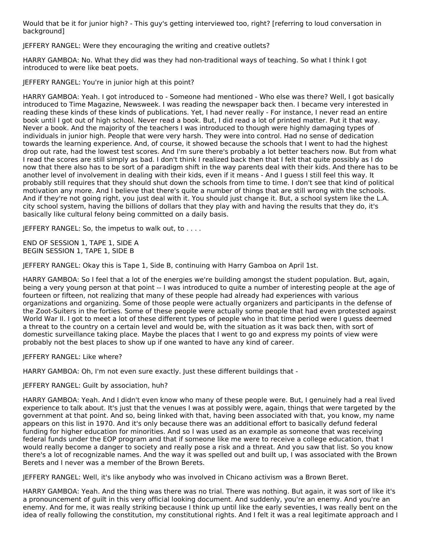Would that be it for junior high? - This guy's getting interviewed too, right? [referring to loud conversation in background]

JEFFERY RANGEL: Were they encouraging the writing and creative outlets?

HARRY GAMBOA: No. What they did was they had non-traditional ways of teaching. So what I think I got introduced to were like beat poets.

JEFFERY RANGEL: You're in junior high at this point?

HARRY GAMBOA: Yeah. I got introduced to - Someone had mentioned - Who else was there? Well, I got basically introduced to Time Magazine, Newsweek. I was reading the newspaper back then. I became very interested in reading these kinds of these kinds of publications. Yet, I had never really - For instance, I never read an entire book until I got out of high school. Never read a book. But, I did read a lot of printed matter. Put it that way. Never a book. And the majority of the teachers I was introduced to though were highly damaging types of individuals in junior high. People that were very harsh. They were into control. Had no sense of dedication towards the learning experience. And, of course, it showed because the schools that I went to had the highest drop out rate, had the lowest test scores. And I'm sure there's probably a lot better teachers now. But from what I read the scores are still simply as bad. I don't think I realized back then that I felt that quite possibly as I do now that there also has to be sort of a paradigm shift in the way parents deal with their kids. And there has to be another level of involvement in dealing with their kids, even if it means - And I guess I still feel this way. It probably still requires that they should shut down the schools from time to time. I don't see that kind of political motivation any more. And I believe that there's quite a number of things that are still wrong with the schools. And if they're not going right, you just deal with it. You should just change it. But, a school system like the L.A. city school system, having the billions of dollars that they play with and having the results that they do, it's basically like cultural felony being committed on a daily basis.

JEFFERY RANGEL: So, the impetus to walk out, to . . . .

END OF SESSION 1, TAPE 1, SIDE A BEGIN SESSION 1, TAPE 1, SIDE B

JEFFERY RANGEL: Okay this is Tape 1, Side B, continuing with Harry Gamboa on April 1st.

HARRY GAMBOA: So I feel that a lot of the energies we're building amongst the student population. But, again, being a very young person at that point -- I was introduced to quite a number of interesting people at the age of fourteen or fifteen, not realizing that many of these people had already had experiences with various organizations and organizing. Some of those people were actually organizers and participants in the defense of the Zoot-Suiters in the forties. Some of these people were actually some people that had even protested against World War II. I got to meet a lot of these different types of people who in that time period were I guess deemed a threat to the country on a certain level and would be, with the situation as it was back then, with sort of domestic surveillance taking place. Maybe the places that I went to go and express my points of view were probably not the best places to show up if one wanted to have any kind of career.

JEFFERY RANGEL: Like where?

HARRY GAMBOA: Oh, I'm not even sure exactly. Just these different buildings that -

# JEFFERY RANGEL: Guilt by association, huh?

HARRY GAMBOA: Yeah. And I didn't even know who many of these people were. But, I genuinely had a real lived experience to talk about. It's just that the venues I was at possibly were, again, things that were targeted by the government at that point. And so, being linked with that, having been associated with that, you know, my name appears on this list in 1970. And it's only because there was an additional effort to basically defund federal funding for higher education for minorities. And so I was used as an example as someone that was receiving federal funds under the EOP program and that if someone like me were to receive a college education, that I would really become a danger to society and really pose a risk and a threat. And you saw that list. So you know there's a lot of recognizable names. And the way it was spelled out and built up, I was associated with the Brown Berets and I never was a member of the Brown Berets.

JEFFERY RANGEL: Well, it's like anybody who was involved in Chicano activism was a Brown Beret.

HARRY GAMBOA: Yeah. And the thing was there was no trial. There was nothing. But again, it was sort of like it's a pronouncement of guilt in this very official looking document. And suddenly, you're an enemy. And you're an enemy. And for me, it was really striking because I think up until like the early seventies, I was really bent on the idea of really following the constitution, my constitutional rights. And I felt it was a real legitimate approach and I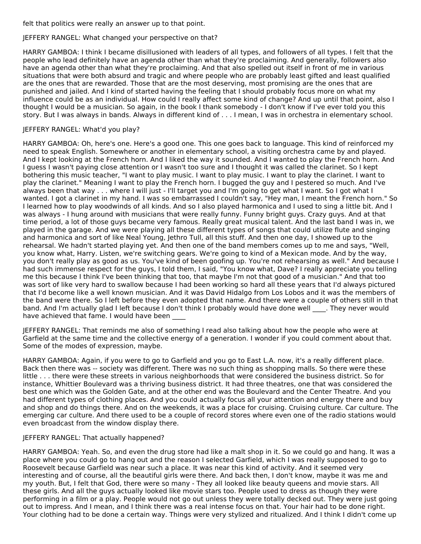felt that politics were really an answer up to that point.

# JEFFERY RANGEL: What changed your perspective on that?

HARRY GAMBOA: I think I became disillusioned with leaders of all types, and followers of all types. I felt that the people who lead definitely have an agenda other than what they're proclaiming. And generally, followers also have an agenda other than what they're proclaiming. And that also spelled out itself in front of me in various situations that were both absurd and tragic and where people who are probably least gifted and least qualified are the ones that are rewarded. Those that are the most deserving, most promising are the ones that are punished and jailed. And I kind of started having the feeling that I should probably focus more on what my influence could be as an individual. How could I really affect some kind of change? And up until that point, also I thought I would be a musician. So again, in the book I thank somebody - I don't know if I've ever told you this story. But I was always in bands. Always in different kind of . . . I mean, I was in orchestra in elementary school.

# JEFFERY RANGEL: What'd you play?

HARRY GAMBOA: Oh, here's one. Here's a good one. This one goes back to language. This kind of reinforced my need to speak English. Somewhere or another in elementary school, a visiting orchestra came by and played. And I kept looking at the French horn. And I liked the way it sounded. And I wanted to play the French horn. And I guess I wasn't paying close attention or I wasn't too sure and I thought it was called the clarinet. So I kept bothering this music teacher, "I want to play music. I want to play music. I want to play the clarinet. I want to play the clarinet." Meaning I want to play the French horn. I bugged the guy and I pestered so much. And I've always been that way . . . where I will just - I'll target you and I'm going to get what I want. So I got what I wanted. I got a clarinet in my hand. I was so embarrassed I couldn't say, "Hey man, I meant the French horn." So I learned how to play woodwinds of all kinds. And so I also played harmonica and I used to sing a little bit. And I was always - I hung around with musicians that were really funny. Funny bright guys. Crazy guys. And at that time period, a lot of those guys became very famous. Really great musical talent. And the last band I was in, we played in the garage. And we were playing all these different types of songs that could utilize flute and singing and harmonica and sort of like Neal Young, Jethro Tull, all this stuff. And then one day, I showed up to the rehearsal. We hadn't started playing yet. And then one of the band members comes up to me and says, "Well, you know what, Harry. Listen, we're switching gears. We're going to kind of a Mexican mode. And by the way, you don't really play as good as us. You've kind of been goofing up. You're not rehearsing as well." And because I had such immense respect for the guys, I told them, I said, "You know what, Dave? I really appreciate you telling me this because I think I've been thinking that too, that maybe I'm not that good of a musician." And that too was sort of like very hard to swallow because I had been working so hard all these years that I'd always pictured that I'd become like a well known musician. And it was David Hidalgo from Los Lobos and it was the members of the band were there. So I left before they even adopted that name. And there were a couple of others still in that band. And I'm actually glad I left because I don't think I probably would have done well \_\_\_\_. They never would have achieved that fame. I would have been

JEFFERY RANGEL: That reminds me also of something I read also talking about how the people who were at Garfield at the same time and the collective energy of a generation. I wonder if you could comment about that. Some of the modes of expression, maybe.

HARRY GAMBOA: Again, if you were to go to Garfield and you go to East L.A. now, it's a really different place. Back then there was -- society was different. There was no such thing as shopping malls. So there were these little . . . there were these streets in various neighborhoods that were considered the business district. So for instance, Whittier Boulevard was a thriving business district. It had three theatres, one that was considered the best one which was the Golden Gate, and at the other end was the Boulevard and the Center Theatre. And you had different types of clothing places. And you could actually focus all your attention and energy there and buy and shop and do things there. And on the weekends, it was a place for cruising. Cruising culture. Car culture. The emerging car culture. And there used to be a couple of record stores where even one of the radio stations would even broadcast from the window display there.

#### JEFFERY RANGEL: That actually happened?

HARRY GAMBOA: Yeah. So, and even the drug store had like a malt shop in it. So we could go and hang. It was a place where you could go to hang out and the reason I selected Garfield, which I was really supposed to go to Roosevelt because Garfield was near such a place. It was near this kind of activity. And it seemed very interesting and of course, all the beautiful girls were there. And back then, I don't know, maybe it was me and my youth. But, I felt that God, there were so many - They all looked like beauty queens and movie stars. All these girls. And all the guys actually looked like movie stars too. People used to dress as though they were performing in a film or a play. People would not go out unless they were totally decked out. They were just going out to impress. And I mean, and I think there was a real intense focus on that. Your hair had to be done right. Your clothing had to be done a certain way. Things were very stylized and ritualized. And I think I didn't come up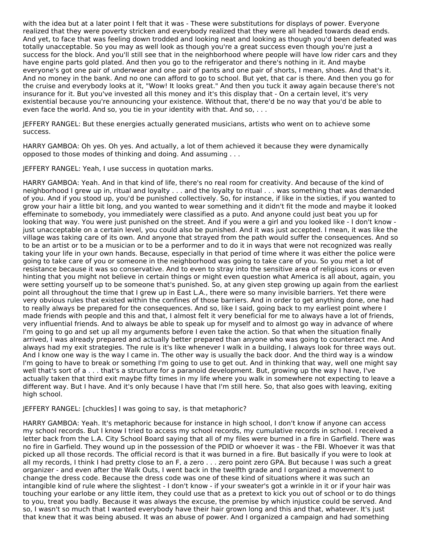with the idea but at a later point I felt that it was - These were substitutions for displays of power. Everyone realized that they were poverty stricken and everybody realized that they were all headed towards dead ends. And yet, to face that was feeling down trodded and looking neat and looking as though you'd been defeated was totally unacceptable. So you may as well look as though you're a great success even though you're just a success for the block. And you'll still see that in the neighborhood where people will have low rider cars and they have engine parts gold plated. And then you go to the refrigerator and there's nothing in it. And maybe everyone's got one pair of underwear and one pair of pants and one pair of shorts, I mean, shoes. And that's it. And no money in the bank. And no one can afford to go to school. But yet, that car is there. And then you go for the cruise and everybody looks at it, "Wow! It looks great." And then you tuck it away again because there's not insurance for it. But you've invested all this money and it's this display that - On a certain level, it's very existential because you're announcing your existence. Without that, there'd be no way that you'd be able to even face the world. And so, you tie in your identity with that. And so, . . .

JEFFERY RANGEL: But these energies actually generated musicians, artists who went on to achieve some success.

HARRY GAMBOA: Oh yes. Oh yes. And actually, a lot of them achieved it because they were dynamically opposed to those modes of thinking and doing. And assuming . . .

JEFFERY RANGEL: Yeah, I use success in quotation marks.

HARRY GAMBOA: Yeah. And in that kind of life, there's no real room for creativity. And because of the kind of neighborhood I grew up in, ritual and loyalty . . . and the loyalty to ritual . . . was something that was demanded of you. And if you stood up, you'd be punished collectively. So, for instance, if like in the sixties, if you wanted to grow your hair a little bit long, and you wanted to wear something and it didn't fit the mode and maybe it looked effeminate to somebody, you immediately were classified as a puto. And anyone could just beat you up for looking that way. You were just punished on the street. And if you were a girl and you looked like - I don't know just unacceptable on a certain level, you could also be punished. And it was just accepted. I mean, it was like the village was taking care of its own. And anyone that strayed from the path would suffer the consequences. And so to be an artist or to be a musician or to be a performer and to do it in ways that were not recognized was really taking your life in your own hands. Because, especially in that period of time where it was either the police were going to take care of you or someone in the neighborhood was going to take care of you. So you met a lot of resistance because it was so conservative. And to even to stray into the sensitive area of religious icons or even hinting that you might not believe in certain things or might even question what America is all about, again, you were setting yourself up to be someone that's punished. So, at any given step growing up again from the earliest point all throughout the time that I grew up in East L.A., there were so many invisible barriers. Yet there were very obvious rules that existed within the confines of those barriers. And in order to get anything done, one had to really always be prepared for the consequences. And so, like I said, going back to my earliest point where I made friends with people and this and that, I almost felt it very beneficial for me to always have a lot of friends, very influential friends. And to always be able to speak up for myself and to almost go way in advance of where I'm going to go and set up all my arguments before I even take the action. So that when the situation finally arrived, I was already prepared and actually better prepared than anyone who was going to counteract me. And always had my exit strategies. The rule is it's like whenever I walk in a building, I always look for three ways out. And I know one way is the way I came in. The other way is usually the back door. And the third way is a window I'm going to have to break or something I'm going to use to get out. And in thinking that way, well one might say well that's sort of a . . . that's a structure for a paranoid development. But, growing up the way I have, I've actually taken that third exit maybe fifty times in my life where you walk in somewhere not expecting to leave a different way. But I have. And it's only because I have that I'm still here. So, that also goes with leaving, exiting high school.

#### JEFFERY RANGEL: [chuckles] I was going to say, is that metaphoric?

HARRY GAMBOA: Yeah. It's metaphoric because for instance in high school, I don't know if anyone can access my school records. But I know I tried to access my school records, my cumulative records in school. I received a letter back from the L.A. City School Board saying that all of my files were burned in a fire in Garfield. There was no fire in Garfield. They wound up in the possession of the PDID or whoever it was - the FBI. Whoever it was that picked up all those records. The official record is that it was burned in a fire. But basically if you were to look at all my records, I think I had pretty close to an F, a zero . . . zero point zero GPA. But because I was such a great organizer - and even after the Walk Outs, I went back in the twelfth grade and I organized a movement to change the dress code. Because the dress code was one of these kind of situations where it was such an intangible kind of rule where the slightest - I don't know - if your sweater's got a wrinkle in it or if your hair was touching your earlobe or any little item, they could use that as a pretext to kick you out of school or to do things to you, treat you badly. Because it was always the excuse, the premise by which injustice could be served. And so, I wasn't so much that I wanted everybody have their hair grown long and this and that, whatever. It's just that knew that it was being abused. It was an abuse of power. And I organized a campaign and had something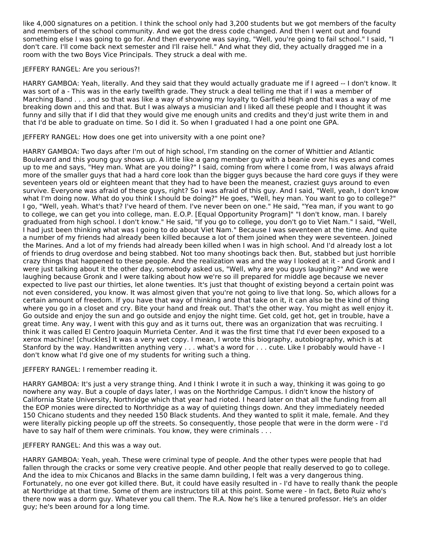like 4,000 signatures on a petition. I think the school only had 3,200 students but we got members of the faculty and members of the school community. And we got the dress code changed. And then I went out and found something else I was going to go for. And then everyone was saying, "Well, you're going to fail school." I said, "I don't care. I'll come back next semester and I'll raise hell." And what they did, they actually dragged me in a room with the two Boys Vice Principals. They struck a deal with me.

# JEFFERY RANGEL: Are you serious?!

HARRY GAMBOA: Yeah, literally. And they said that they would actually graduate me if I agreed -- I don't know. It was sort of a - This was in the early twelfth grade. They struck a deal telling me that if I was a member of Marching Band . . . and so that was like a way of showing my loyalty to Garfield High and that was a way of me breaking down and this and that. But I was always a musician and I liked all these people and I thought it was funny and silly that if I did that they would give me enough units and credits and they'd just write them in and that I'd be able to graduate on time. So I did it. So when I graduated I had a one point one GPA.

# JEFFERY RANGEL: How does one get into university with a one point one?

HARRY GAMBOA: Two days after I'm out of high school, I'm standing on the corner of Whittier and Atlantic Boulevard and this young guy shows up. A little like a gang member guy with a beanie over his eyes and comes up to me and says, "Hey man. What are you doing?" I said, coming from where I come from, I was always afraid more of the smaller guys that had a hard core look than the bigger guys because the hard core guys if they were seventeen years old or eighteen meant that they had to have been the meanest, craziest guys around to even survive. Everyone was afraid of these guys, right? So I was afraid of this guy. And I said, "Well, yeah, I don't know what I'm doing now. What do you think I should be doing?" He goes, "Well, hey man. You want to go to college?" I go, "Well, yeah. What's that? I've heard of them. I've never been on one." He said, "Yea man, if you want to go to college, we can get you into college, man. E.O.P. [Equal Opportunity Program]" "I don't know, man. I barely graduated from high school. I don't know." He said, "If you go to college, you don't go to Viet Nam." I said, "Well, I had just been thinking what was I going to do about Viet Nam." Because I was seventeen at the time. And quite a number of my friends had already been killed because a lot of them joined when they were seventeen. Joined the Marines. And a lot of my friends had already been killed when I was in high school. And I'd already lost a lot of friends to drug overdose and being stabbed. Not too many shootings back then. But, stabbed but just horrible crazy things that happened to these people. And the realization was and the way I looked at it - and Gronk and I were just talking about it the other day, somebody asked us, "Well, why are you guys laughing?" And we were laughing because Gronk and I were talking about how we're so ill prepared for middle age because we never expected to live past our thirties, let alone twenties. It's just that thought of existing beyond a certain point was not even considered, you know. It was almost given that you're not going to live that long. So, which allows for a certain amount of freedom. If you have that way of thinking and that take on it, it can also be the kind of thing where you go in a closet and cry. Bite your hand and freak out. That's the other way. You might as well enjoy it. Go outside and enjoy the sun and go outside and enjoy the night time. Get cold, get hot, get in trouble, have a great time. Any way, I went with this guy and as it turns out, there was an organization that was recruiting. I think it was called El Centro Joaquin Murrieta Center. And it was the first time that I'd ever been exposed to a xerox machine! [chuckles] It was a very wet copy. I mean, I wrote this biography, autobiography, which is at Stanford by the way. Handwritten anything very . . . what's a word for . . . cute. Like I probably would have - I don't know what I'd give one of my students for writing such a thing.

#### JEFFERY RANGEL: I remember reading it.

HARRY GAMBOA: It's just a very strange thing. And I think I wrote it in such a way, thinking it was going to go nowhere any way. But a couple of days later, I was on the Northridge Campus. I didn't know the history of California State University, Northridge which that year had rioted. I heard later on that all the funding from all the EOP monies were directed to Northridge as a way of quieting things down. And they immediately needed 150 Chicano students and they needed 150 Black students. And they wanted to split it male, female. And they were literally picking people up off the streets. So consequently, those people that were in the dorm were - I'd have to say half of them were criminals. You know, they were criminals . . .

#### JEFFERY RANGEL: And this was a way out.

HARRY GAMBOA: Yeah, yeah. These were criminal type of people. And the other types were people that had fallen through the cracks or some very creative people. And other people that really deserved to go to college. And the idea to mix Chicanos and Blacks in the same damn building, I felt was a very dangerous thing. Fortunately, no one ever got killed there. But, it could have easily resulted in - I'd have to really thank the people at Northridge at that time. Some of them are instructors till at this point. Some were - In fact, Beto Ruiz who's there now was a dorm guy. Whatever you call them. The R.A. Now he's like a tenured professor. He's an older guy; he's been around for a long time.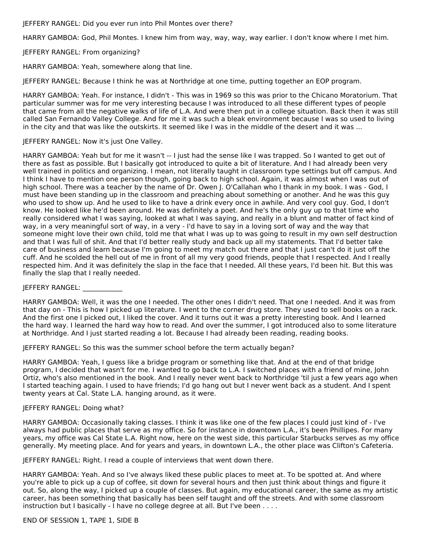JEFFERY RANGEL: Did you ever run into Phil Montes over there?

HARRY GAMBOA: God, Phil Montes. I knew him from way, way, way, way earlier. I don't know where I met him.

JEFFERY RANGEL: From organizing?

HARRY GAMBOA: Yeah, somewhere along that line.

JEFFERY RANGEL: Because I think he was at Northridge at one time, putting together an EOP program.

HARRY GAMBOA: Yeah. For instance, I didn't - This was in 1969 so this was prior to the Chicano Moratorium. That particular summer was for me very interesting because I was introduced to all these different types of people that came from all the negative walks of life of L.A. And were then put in a college situation. Back then it was still called San Fernando Valley College. And for me it was such a bleak environment because I was so used to living in the city and that was like the outskirts. It seemed like I was in the middle of the desert and it was ...

JEFFERY RANGEL: Now it's just One Valley.

HARRY GAMBOA: Yeah but for me it wasn't -- I just had the sense like I was trapped. So I wanted to get out of there as fast as possible. But I basically got introduced to quite a bit of literature. And I had already been very well trained in politics and organizing. I mean, not literally taught in classroom type settings but off campus. And I think I have to mention one person though, going back to high school. Again, it was almost when I was out of high school. There was a teacher by the name of Dr. Owen J. O'Callahan who I thank in my book. I was - God, I must have been standing up in the classroom and preaching about something or another. And he was this guy who used to show up. And he used to like to have a drink every once in awhile. And very cool guy. God, I don't know. He looked like he'd been around. He was definitely a poet. And he's the only guy up to that time who really considered what I was saying, looked at what I was saying, and really in a blunt and matter of fact kind of way, in a very meaningful sort of way, in a very - I'd have to say in a loving sort of way and the way that someone might love their own child, told me that what I was up to was going to result in my own self destruction and that I was full of shit. And that I'd better really study and back up all my statements. That I'd better take care of business and learn because I'm going to meet my match out there and that I just can't do it just off the cuff. And he scolded the hell out of me in front of all my very good friends, people that I respected. And I really respected him. And it was definitely the slap in the face that I needed. All these years, I'd been hit. But this was finally the slap that I really needed.

#### JEFFERY RANGEL:

HARRY GAMBOA: Well, it was the one I needed. The other ones I didn't need. That one I needed. And it was from that day on - This is how I picked up literature. I went to the corner drug store. They used to sell books on a rack. And the first one I picked out, I liked the cover. And it turns out it was a pretty interesting book. And I learned the hard way. I learned the hard way how to read. And over the summer, I got introduced also to some literature at Northridge. And I just started reading a lot. Because I had already been reading, reading books.

JEFFERY RANGEL: So this was the summer school before the term actually began?

HARRY GAMBOA: Yeah, I guess like a bridge program or something like that. And at the end of that bridge program, I decided that wasn't for me. I wanted to go back to L.A. I switched places with a friend of mine, John Ortiz, who's also mentioned in the book. And I really never went back to Northridge 'til just a few years ago when I started teaching again. I used to have friends; I'd go hang out but I never went back as a student. And I spent twenty years at Cal. State L.A. hanging around, as it were.

#### JEFFERY RANGEL: Doing what?

HARRY GAMBOA: Occasionally taking classes. I think it was like one of the few places I could just kind of - I've always had public places that serve as my office. So for instance in downtown L.A., it's been Phillipes. For many years, my office was Cal State L.A. Right now, here on the west side, this particular Starbucks serves as my office generally. My meeting place. And for years and years, in downtown L.A., the other place was Clifton's Cafeteria.

JEFFERY RANGEL: Right. I read a couple of interviews that went down there.

HARRY GAMBOA: Yeah. And so I've always liked these public places to meet at. To be spotted at. And where you're able to pick up a cup of coffee, sit down for several hours and then just think about things and figure it out. So, along the way, I picked up a couple of classes. But again, my educational career, the same as my artistic career, has been something that basically has been self taught and off the streets. And with some classroom instruction but I basically - I have no college degree at all. But I've been . . . .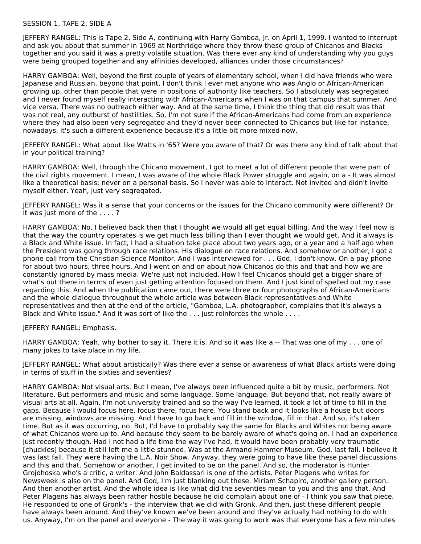#### SESSION 1, TAPE 2, SIDE A

JEFFERY RANGEL: This is Tape 2, Side A, continuing with Harry Gamboa, Jr. on April 1, 1999. I wanted to interrupt and ask you about that summer in 1969 at Northridge where they throw these group of Chicanos and Blacks together and you said it was a pretty volatile situation. Was there ever any kind of understanding why you guys were being grouped together and any affinities developed, alliances under those circumstances?

HARRY GAMBOA: Well, beyond the first couple of years of elementary school, when I did have friends who were Japanese and Russian, beyond that point, I don't think I ever met anyone who was Anglo or African-American growing up, other than people that were in positions of authority like teachers. So I absolutely was segregated and I never found myself really interacting with African-Americans when I was on that campus that summer. And vice versa. There was no outreach either way. And at the same time, I think the thing that did result was that was not real, any outburst of hostilities. So, I'm not sure if the African-Americans had come from an experience where they had also been very segregated and they'd never been connected to Chicanos but like for instance, nowadays, it's such a different experience because it's a little bit more mixed now.

JEFFERY RANGEL: What about like Watts in '65? Were you aware of that? Or was there any kind of talk about that in your political training?

HARRY GAMBOA: Well, through the Chicano movement, I got to meet a lot of different people that were part of the civil rights movement. I mean, I was aware of the whole Black Power struggle and again, on a - It was almost like a theoretical basis; never on a personal basis. So I never was able to interact. Not invited and didn't invite myself either. Yeah, just very segregated.

JEFFERY RANGEL: Was it a sense that your concerns or the issues for the Chicano community were different? Or it was just more of the . . . . ?

HARRY GAMBOA: No, I believed back then that I thought we would all get equal billing. And the way I feel now is that the way the country operates is we get much less billing than I ever thought we would get. And it always is a Black and White issue. In fact, I had a situation take place about two years ago, or a year and a half ago when the President was going through race relations. His dialogue on race relations. And somehow or another, I got a phone call from the Christian Science Monitor. And I was interviewed for . . . God, I don't know. On a pay phone for about two hours, three hours. And I went on and on about how Chicanos do this and that and how we are constantly ignored by mass media. We're just not included. How I feel Chicanos should get a bigger share of what's out there in terms of even just getting attention focused on them. And I just kind of spelled out my case regarding this. And when the publication came out, there were three or four photographs of African-Americans and the whole dialogue throughout the whole article was between Black representatives and White representatives and then at the end of the article, "Gamboa, L.A. photographer, complains that it's always a Black and White issue." And it was sort of like the . . . just reinforces the whole . . . .

JEFFERY RANGEL: Emphasis.

HARRY GAMBOA: Yeah, why bother to say it. There it is. And so it was like a -- That was one of my . . . one of many jokes to take place in my life.

JEFFERY RANGEL: What about artistically? Was there ever a sense or awareness of what Black artists were doing in terms of stuff in the sixties and seventies?

HARRY GAMBOA: Not visual arts. But I mean, I've always been influenced quite a bit by music, performers. Not literature. But performers and music and some language. Some language. But beyond that, not really aware of visual arts at all. Again, I'm not university trained and so the way I've learned, it took a lot of time to fill in the gaps. Because I would focus here, focus there, focus here. You stand back and it looks like a house but doors are missing, windows are missing. And I have to go back and fill in the window, fill in that. And so, it's taken time. But as it was occurring, no. But, I'd have to probably say the same for Blacks and Whites not being aware of what Chicanos were up to. And because they seem to be barely aware of what's going on. I had an experience just recently though. Had I not had a life time the way I've had, it would have been probably very traumatic [chuckles] because it still left me a little stunned. Was at the Armand Hammer Museum. God, last fall. I believe it was last fall. They were having the L.A. Noir Show. Anyway, they were going to have like these panel discussions and this and that. Somehow or another, I get invited to be on the panel. And so, the moderator is Hunter Grojohoska who's a critic, a writer. And John Baldassari is one of the artists. Peter Plagens who writes for Newsweek is also on the panel. And God, I'm just blanking out these. Miriam Schapiro, another gallery person. And then another artist. And the whole idea is like what did the seventies mean to you and this and that. And Peter Plagens has always been rather hostile because he did complain about one of - I think you saw that piece. He responded to one of Gronk's - the interview that we did with Gronk. And then, just these different people have always been around. And they've known we've been around and they've actually had nothing to do with us. Anyway, I'm on the panel and everyone - The way it was going to work was that everyone has a few minutes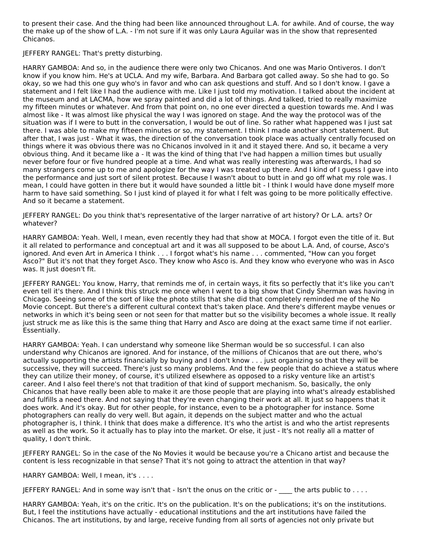to present their case. And the thing had been like announced throughout L.A. for awhile. And of course, the way the make up of the show of L.A. - I'm not sure if it was only Laura Aguilar was in the show that represented Chicanos.

JEFFERY RANGEL: That's pretty disturbing.

HARRY GAMBOA: And so, in the audience there were only two Chicanos. And one was Mario Ontiveros. I don't know if you know him. He's at UCLA. And my wife, Barbara. And Barbara got called away. So she had to go. So okay, so we had this one guy who's in favor and who can ask questions and stuff. And so I don't know. I gave a statement and I felt like I had the audience with me. Like I just told my motivation. I talked about the incident at the museum and at LACMA, how we spray painted and did a lot of things. And talked, tried to really maximize my fifteen minutes or whatever. And from that point on, no one ever directed a question towards me. And I was almost like - It was almost like physical the way I was ignored on stage. And the way the protocol was of the situation was if I were to butt in the conversation, I would be out of line. So rather what happened was I just sat there. I was able to make my fifteen minutes or so, my statement. I think I made another short statement. But after that, I was just - What it was, the direction of the conversation took place was actually centrally focused on things where it was obvious there was no Chicanos involved in it and it stayed there. And so, it became a very obvious thing. And it became like a - It was the kind of thing that I've had happen a million times but usually never before four or five hundred people at a time. And what was really interesting was afterwards, I had so many strangers come up to me and apologize for the way I was treated up there. And I kind of I guess I gave into the performance and just sort of silent protest. Because I wasn't about to butt in and go off what my role was. I mean, I could have gotten in there but it would have sounded a little bit - I think I would have done myself more harm to have said something. So I just kind of played it for what I felt was going to be more politically effective. And so it became a statement.

JEFFERY RANGEL: Do you think that's representative of the larger narrative of art history? Or L.A. arts? Or whatever?

HARRY GAMBOA: Yeah. Well, I mean, even recently they had that show at MOCA. I forgot even the title of it. But it all related to performance and conceptual art and it was all supposed to be about L.A. And, of course, Asco's ignored. And even Art in America I think . . . I forgot what's his name . . . commented, "How can you forget Asco?" But it's not that they forget Asco. They know who Asco is. And they know who everyone who was in Asco was. It just doesn't fit.

JEFFERY RANGEL: You know, Harry, that reminds me of, in certain ways, it fits so perfectly that it's like you can't even tell it's there. And I think this struck me once when I went to a big show that Cindy Sherman was having in Chicago. Seeing some of the sort of like the photo stills that she did that completely reminded me of the No Movie concept. But there's a different cultural context that's taken place. And there's different maybe venues or networks in which it's being seen or not seen for that matter but so the visibility becomes a whole issue. It really just struck me as like this is the same thing that Harry and Asco are doing at the exact same time if not earlier. Essentially.

HARRY GAMBOA: Yeah. I can understand why someone like Sherman would be so successful. I can also understand why Chicanos are ignored. And for instance, of the millions of Chicanos that are out there, who's actually supporting the artists financially by buying and I don't know . . . just organizing so that they will be successive, they will succeed. There's just so many problems. And the few people that do achieve a status where they can utilize their money, of course, it's utilized elsewhere as opposed to a risky venture like an artist's career. And I also feel there's not that tradition of that kind of support mechanism. So, basically, the only Chicanos that have really been able to make it are those people that are playing into what's already established and fulfills a need there. And not saying that they're even changing their work at all. It just so happens that it does work. And it's okay. But for other people, for instance, even to be a photographer for instance. Some photographers can really do very well. But again, it depends on the subject matter and who the actual photographer is, I think. I think that does make a difference. It's who the artist is and who the artist represents as well as the work. So it actually has to play into the market. Or else, it just - It's not really all a matter of quality, I don't think.

JEFFERY RANGEL: So in the case of the No Movies it would be because you're a Chicano artist and because the content is less recognizable in that sense? That it's not going to attract the attention in that way?

HARRY GAMBOA: Well, I mean, it's . . . .

JEFFERY RANGEL: And in some way isn't that - Isn't the onus on the critic or - \_\_\_\_ the arts public to . . . .

HARRY GAMBOA: Yeah, it's on the critic. It's on the publication. It's on the publications; it's on the institutions. But, I feel the institutions have actually - educational institutions and the art institutions have failed the Chicanos. The art institutions, by and large, receive funding from all sorts of agencies not only private but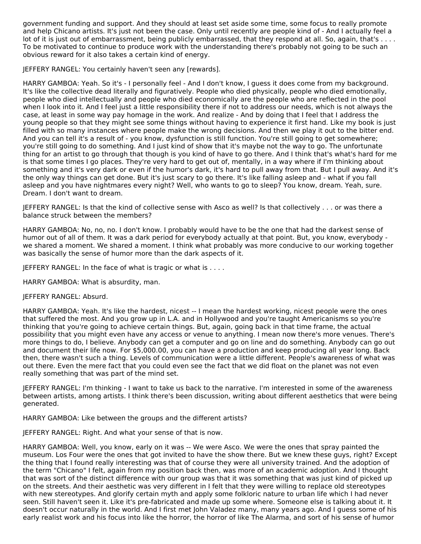government funding and support. And they should at least set aside some time, some focus to really promote and help Chicano artists. It's just not been the case. Only until recently are people kind of - And I actually feel a lot of it is just out of embarrassment, being publicly embarrassed, that they respond at all. So, again, that's ... To be motivated to continue to produce work with the understanding there's probably not going to be such an obvious reward for it also takes a certain kind of energy.

JEFFERY RANGEL: You certainly haven't seen any [rewards].

HARRY GAMBOA: Yeah. So it's - I personally feel - And I don't know, I guess it does come from my background. It's like the collective dead literally and figuratively. People who died physically, people who died emotionally, people who died intellectually and people who died economically are the people who are reflected in the pool when I look into it. And I feel just a little responsibility there if not to address our needs, which is not always the case, at least in some way pay homage in the work. And realize - And by doing that I feel that I address the young people so that they might see some things without having to experience it first hand. Like my book is just filled with so many instances where people make the wrong decisions. And then we play it out to the bitter end. And you can tell it's a result of - you know, dysfunction is still function. You're still going to get somewhere; you're still going to do something. And I just kind of show that it's maybe not the way to go. The unfortunate thing for an artist to go through that though is you kind of have to go there. And I think that's what's hard for me is that some times I go places. They're very hard to get out of, mentally, in a way where if I'm thinking about something and it's very dark or even if the humor's dark, it's hard to pull away from that. But I pull away. And it's the only way things can get done. But it's just scary to go there. It's like falling asleep and - what if you fall asleep and you have nightmares every night? Well, who wants to go to sleep? You know, dream. Yeah, sure. Dream. I don't want to dream.

JEFFERY RANGEL: Is that the kind of collective sense with Asco as well? Is that collectively . . . or was there a balance struck between the members?

HARRY GAMBOA: No, no, no. I don't know. I probably would have to be the one that had the darkest sense of humor out of all of them. It was a dark period for everybody actually at that point. But, you know, everybody we shared a moment. We shared a moment. I think what probably was more conducive to our working together was basically the sense of humor more than the dark aspects of it.

JEFFERY RANGEL: In the face of what is tragic or what is . . . .

HARRY GAMBOA: What is absurdity, man.

# JEFFERY RANGEL: Absurd.

HARRY GAMBOA: Yeah. It's like the hardest, nicest -- I mean the hardest working, nicest people were the ones that suffered the most. And you grow up in L.A. and in Hollywood and you're taught Americanisms so you're thinking that you're going to achieve certain things. But, again, going back in that time frame, the actual possibility that you might even have any access or venue to anything. I mean now there's more venues. There's more things to do, I believe. Anybody can get a computer and go on line and do something. Anybody can go out and document their life now. For \$5,000.00, you can have a production and keep producing all year long. Back then, there wasn't such a thing. Levels of communication were a little different. People's awareness of what was out there. Even the mere fact that you could even see the fact that we did float on the planet was not even really something that was part of the mind set.

JEFFERY RANGEL: I'm thinking - I want to take us back to the narrative. I'm interested in some of the awareness between artists, among artists. I think there's been discussion, writing about different aesthetics that were being generated.

HARRY GAMBOA: Like between the groups and the different artists?

JEFFERY RANGEL: Right. And what your sense of that is now.

HARRY GAMBOA: Well, you know, early on it was -- We were Asco. We were the ones that spray painted the museum. Los Four were the ones that got invited to have the show there. But we knew these guys, right? Except the thing that I found really interesting was that of course they were all university trained. And the adoption of the term "Chicano" I felt, again from my position back then, was more of an academic adoption. And I thought that was sort of the distinct difference with our group was that it was something that was just kind of picked up on the streets. And their aesthetic was very different in I felt that they were willing to replace old stereotypes with new stereotypes. And glorify certain myth and apply some folkloric nature to urban life which I had never seen. Still haven't seen it. Like it's pre-fabricated and made up some where. Someone else is talking about it. It doesn't occur naturally in the world. And I first met John Valadez many, many years ago. And I guess some of his early realist work and his focus into like the horror, the horror of like The Alarma, and sort of his sense of humor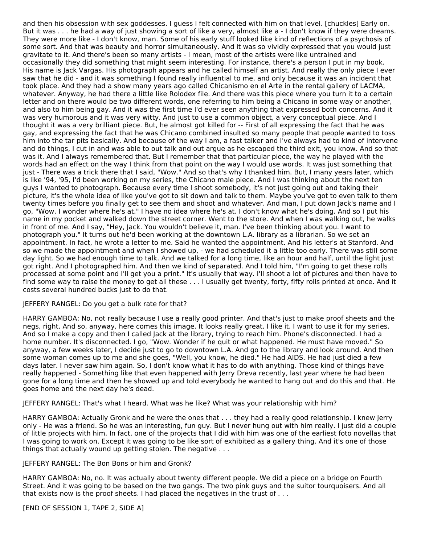and then his obsession with sex goddesses. I guess I felt connected with him on that level. [chuckles] Early on. But it was . . . he had a way of just showing a sort of like a very, almost like a - I don't know if they were dreams. They were more like - I don't know, man. Some of his early stuff looked like kind of reflections of a psychosis of some sort. And that was beauty and horror simultaneously. And it was so vividly expressed that you would just gravitate to it. And there's been so many artists - I mean, most of the artists were like untrained and occasionally they did something that might seem interesting. For instance, there's a person I put in my book. His name is Jack Vargas. His photograph appears and he called himself an artist. And really the only piece I ever saw that he did - and it was something I found really influential to me, and only because it was an incident that took place. And they had a show many years ago called Chicanismo en el Arte in the rental gallery of LACMA, whatever. Anyway, he had there a little like Rolodex file. And there was this piece where you turn it to a certain letter and on there would be two different words, one referring to him being a Chicano in some way or another, and also to him being gay. And it was the first time I'd ever seen anything that expressed both concerns. And it was very humorous and it was very witty. And just to use a common object, a very conceptual piece. And I thought it was a very brilliant piece. But, he almost got killed for -- First of all expressing the fact that he was gay, and expressing the fact that he was Chicano combined insulted so many people that people wanted to toss him into the tar pits basically. And because of the way I am, a fast talker and I've always had to kind of intervene and do things, I cut in and was able to out talk and out argue as he escaped the third exit, you know. And so that was it. And I always remembered that. But I remember that that particular piece, the way he played with the words had an effect on the way I think from that point on the way I would use words. It was just something that just - There was a trick there that I said, "Wow." And so that's why I thanked him. But, I many years later, which is like '94, '95, I'd been working on my series, the Chicano male piece. And I was thinking about the next ten guys I wanted to photograph. Because every time I shoot somebody, it's not just going out and taking their picture, it's the whole idea of like you've got to sit down and talk to them. Maybe you've got to even talk to them twenty times before you finally get to see them and shoot and whatever. And man, I put down Jack's name and I go, "Wow. I wonder where he's at." I have no idea where he's at. I don't know what he's doing. And so I put his name in my pocket and walked down the street corner. Went to the store. And when I was walking out, he walks in front of me. And I say, "Hey, Jack. You wouldn't believe it, man. I've been thinking about you. I want to photograph you." It turns out he'd been working at the downtown L.A. library as a librarian. So we set an appointment. In fact, he wrote a letter to me. Said he wanted the appointment. And his letter's at Stanford. And so we made the appointment and when I showed up, - we had scheduled it a little too early. There was still some day light. So we had enough time to talk. And we talked for a long time, like an hour and half, until the light just got right. And I photographed him. And then we kind of separated. And I told him, "I'm going to get these rolls processed at some point and I'll get you a print." It's usually that way. I'll shoot a lot of pictures and then have to find some way to raise the money to get all these . . . I usually get twenty, forty, fifty rolls printed at once. And it costs several hundred bucks just to do that.

#### JEFFERY RANGEL: Do you get a bulk rate for that?

HARRY GAMBOA: No, not really because I use a really good printer. And that's just to make proof sheets and the negs, right. And so, anyway, here comes this image. It looks really great. I like it. I want to use it for my series. And so I make a copy and then I called Jack at the library, trying to reach him. Phone's disconnected. I had a home number. It's disconnected. I go, "Wow. Wonder if he quit or what happened. He must have moved." So anyway, a few weeks later, I decide just to go to downtown L.A. And go to the library and look around. And then some woman comes up to me and she goes, "Well, you know, he died." He had AIDS. He had just died a few days later. I never saw him again. So, I don't know what it has to do with anything. Those kind of things have really happened - Something like that even happened with Jerry Dreva recently, last year where he had been gone for a long time and then he showed up and told everybody he wanted to hang out and do this and that. He goes home and the next day he's dead.

JEFFERY RANGEL: That's what I heard. What was he like? What was your relationship with him?

HARRY GAMBOA: Actually Gronk and he were the ones that . . . they had a really good relationship. I knew Jerry only - He was a friend. So he was an interesting, fun guy. But I never hung out with him really. I just did a couple of little projects with him. In fact, one of the projects that I did with him was one of the earliest foto novellas that I was going to work on. Except it was going to be like sort of exhibited as a gallery thing. And it's one of those things that actually wound up getting stolen. The negative . . .

#### JEFFERY RANGEL: The Bon Bons or him and Gronk?

HARRY GAMBOA: No, no. It was actually about twenty different people. We did a piece on a bridge on Fourth Street. And it was going to be based on the two gangs. The two pink guys and the suitor tourquoisers. And all that exists now is the proof sheets. I had placed the negatives in the trust of . . .

[END OF SESSION 1, TAPE 2, SIDE A]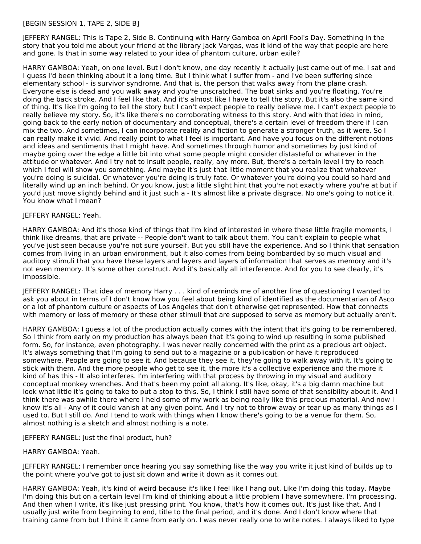# [BEGIN SESSION 1, TAPE 2, SIDE B]

JEFFERY RANGEL: This is Tape 2, Side B. Continuing with Harry Gamboa on April Fool's Day. Something in the story that you told me about your friend at the library Jack Vargas, was it kind of the way that people are here and gone. Is that in some way related to your idea of phantom culture, urban exile?

HARRY GAMBOA: Yeah, on one level. But I don't know, one day recently it actually just came out of me. I sat and I guess I'd been thinking about it a long time. But I think what I suffer from - and I've been suffering since elementary school - is survivor syndrome. And that is, the person that walks away from the plane crash. Everyone else is dead and you walk away and you're unscratched. The boat sinks and you're floating. You're doing the back stroke. And I feel like that. And it's almost like I have to tell the story. But it's also the same kind of thing. It's like I'm going to tell the story but I can't expect people to really believe me. I can't expect people to really believe my story. So, it's like there's no corroborating witness to this story. And with that idea in mind, going back to the early notion of documentary and conceptual, there's a certain level of freedom there if I can mix the two. And sometimes, I can incorporate reality and fiction to generate a stronger truth, as it were. So I can really make it vivid. And really point to what I feel is important. And have you focus on the different notions and ideas and sentiments that I might have. And sometimes through humor and sometimes by just kind of maybe going over the edge a little bit into what some people might consider distasteful or whatever in the attitude or whatever. And I try not to insult people, really, any more. But, there's a certain level I try to reach which I feel will show you something. And maybe it's just that little moment that you realize that whatever you're doing is suicidal. Or whatever you're doing is truly fate. Or whatever you're doing you could so hard and literally wind up an inch behind. Or you know, just a little slight hint that you're not exactly where you're at but if you'd just move slightly behind and it just such a - It's almost like a private disgrace. No one's going to notice it. You know what I mean?

#### JEFFERY RANGEL: Yeah.

HARRY GAMBOA: And it's those kind of things that I'm kind of interested in where these little fragile moments, I think like dreams, that are private -- People don't want to talk about them. You can't explain to people what you've just seen because you're not sure yourself. But you still have the experience. And so I think that sensation comes from living in an urban environment, but it also comes from being bombarded by so much visual and auditory stimuli that you have these layers and layers and layers of information that serves as memory and it's not even memory. It's some other construct. And it's basically all interference. And for you to see clearly, it's impossible.

JEFFERY RANGEL: That idea of memory Harry . . . kind of reminds me of another line of questioning I wanted to ask you about in terms of I don't know how you feel about being kind of identified as the documentarian of Asco or a lot of phantom culture or aspects of Los Angeles that don't otherwise get represented. How that connects with memory or loss of memory or these other stimuli that are supposed to serve as memory but actually aren't.

HARRY GAMBOA: I guess a lot of the production actually comes with the intent that it's going to be remembered. So I think from early on my production has always been that it's going to wind up resulting in some published form. So, for instance, even photography. I was never really concerned with the print as a precious art object. It's always something that I'm going to send out to a magazine or a publication or have it reproduced somewhere. People are going to see it. And because they see it, they're going to walk away with it. It's going to stick with them. And the more people who get to see it, the more it's a collective experience and the more it kind of has this - It also interferes. I'm interfering with that process by throwing in my visual and auditory conceptual monkey wrenches. And that's been my point all along. It's like, okay, it's a big damn machine but look what little it's going to take to put a stop to this. So, I think I still have some of that sensibility about it. And I think there was awhile there where I held some of my work as being really like this precious material. And now I know it's all - Any of it could vanish at any given point. And I try not to throw away or tear up as many things as I used to. But I still do. And I tend to work with things when I know there's going to be a venue for them. So, almost nothing is a sketch and almost nothing is a note.

JEFFERY RANGEL: Just the final product, huh?

#### HARRY GAMBOA: Yeah.

JEFFERY RANGEL: I remember once hearing you say something like the way you write it just kind of builds up to the point where you've got to just sit down and write it down as it comes out.

HARRY GAMBOA: Yeah, it's kind of weird because it's like I feel like I hang out. Like I'm doing this today. Maybe I'm doing this but on a certain level I'm kind of thinking about a little problem I have somewhere. I'm processing. And then when I write, it's like just pressing print. You know, that's how it comes out. It's just like that. And I usually just write from beginning to end, title to the final period, and it's done. And I don't know where that training came from but I think it came from early on. I was never really one to write notes. I always liked to type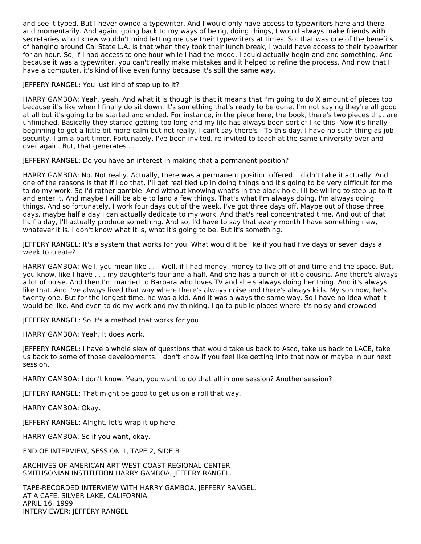and see it typed. But I never owned a typewriter. And I would only have access to typewriters here and there and momentarily. And again, going back to my ways of being, doing things, I would always make friends with secretaries who I knew wouldn't mind letting me use their typewriters at times. So, that was one of the benefits of hanging around Cal State L.A. is that when they took their lunch break, I would have access to their typewriter for an hour. So, if I had access to one hour while I had the mood, I could actually begin and end something. And because it was a typewriter, you can't really make mistakes and it helped to refine the process. And now that I have a computer, it's kind of like even funny because it's still the same way.

JEFFERY RANGEL: You just kind of step up to it?

HARRY GAMBOA: Yeah, yeah. And what it is though is that it means that I'm going to do X amount of pieces too because it's like when I finally do sit down, it's something that's ready to be done. I'm not saying they're all good at all but it's going to be started and ended. For instance, in the piece here, the book, there's two pieces that are unfinished. Basically they started getting too long and my life has always been sort of like this. Now it's finally beginning to get a little bit more calm but not really. I can't say there's - To this day, I have no such thing as job security. I am a part timer. Fortunately, I've been invited, re-invited to teach at the same university over and over again. But, that generates . . .

JEFFERY RANGEL: Do you have an interest in making that a permanent position?

HARRY GAMBOA: No. Not really. Actually, there was a permanent position offered. I didn't take it actually. And one of the reasons is that if I do that, I'll get real tied up in doing things and it's going to be very difficult for me to do my work. So I'd rather gamble. And without knowing what's in the black hole, I'll be willing to step up to it and enter it. And maybe I will be able to land a few things. That's what I'm always doing. I'm always doing things. And so fortunately, I work four days out of the week. I've got three days off. Maybe out of those three days, maybe half a day I can actually dedicate to my work. And that's real concentrated time. And out of that half a day, I'll actually produce something. And so, I'd have to say that every month I have something new, whatever it is. I don't know what it is, what it's going to be. But it's something.

JEFFERY RANGEL: It's a system that works for you. What would it be like if you had five days or seven days a week to create?

HARRY GAMBOA: Well, you mean like . . . Well, if I had money, money to live off of and time and the space. But, you know, like I have . . . my daughter's four and a half. And she has a bunch of little cousins. And there's always a lot of noise. And then I'm married to Barbara who loves TV and she's always doing her thing. And it's always like that. And I've always lived that way where there's always noise and there's always kids. My son now, he's twenty-one. But for the longest time, he was a kid. And it was always the same way. So I have no idea what it would be like. And even to do my work and my thinking, I go to public places where it's noisy and crowded.

JEFFERY RANGEL: So it's a method that works for you.

HARRY GAMBOA: Yeah. It does work.

JEFFERY RANGEL: I have a whole slew of questions that would take us back to Asco, take us back to LACE, take us back to some of those developments. I don't know if you feel like getting into that now or maybe in our next session.

HARRY GAMBOA: I don't know. Yeah, you want to do that all in one session? Another session?

JEFFERY RANGEL: That might be good to get us on a roll that way.

HARRY GAMBOA: Okay.

JEFFERY RANGEL: Alright, let's wrap it up here.

HARRY GAMBOA: So if you want, okay.

END OF INTERVIEW, SESSION 1, TAPE 2, SIDE B

ARCHIVES OF AMERICAN ART WEST COAST REGIONAL CENTER SMITHSONIAN INSTITUTION HARRY GAMBOA, JEFFERY RANGEL.

TAPE-RECORDED INTERVIEW WITH HARRY GAMBOA, JEFFERY RANGEL. AT A CAFE, SILVER LAKE, CALIFORNIA APRIL 16, 1999 INTERVIEWER: JEFFERY RANGEL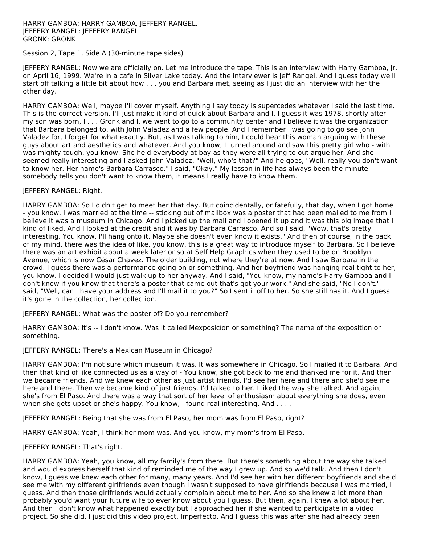#### HARRY GAMBOA: HARRY GAMBOA, JEFFERY RANGEL. JEFFERY RANGEL: JEFFERY RANGEL GRONK: GRONK

#### Session 2, Tape 1, Side A (30-minute tape sides)

JEFFERY RANGEL: Now we are officially on. Let me introduce the tape. This is an interview with Harry Gamboa, Jr. on April 16, 1999. We're in a cafe in Silver Lake today. And the interviewer is Jeff Rangel. And I guess today we'll start off talking a little bit about how . . . you and Barbara met, seeing as I just did an interview with her the other day.

HARRY GAMBOA: Well, maybe I'll cover myself. Anything I say today is supercedes whatever I said the last time. This is the correct version. I'll just make it kind of quick about Barbara and I. I guess it was 1978, shortly after my son was born, I . . . Gronk and I, we went to go to a community center and I believe it was the organization that Barbara belonged to, with John Valadez and a few people. And I remember I was going to go see John Valadez for, I forget for what exactly. But, as I was talking to him, I could hear this woman arguing with these guys about art and aesthetics and whatever. And you know, I turned around and saw this pretty girl who - with was mighty tough, you know. She held everybody at bay as they were all trying to out argue her. And she seemed really interesting and I asked John Valadez, "Well, who's that?" And he goes, "Well, really you don't want to know her. Her name's Barbara Carrasco." I said, "Okay." My lesson in life has always been the minute somebody tells you don't want to know them, it means I really have to know them.

#### JEFFERY RANGEL: Right.

HARRY GAMBOA: So I didn't get to meet her that day. But coincidentally, or fatefully, that day, when I got home - you know, I was married at the time -- sticking out of mailbox was a poster that had been mailed to me from I believe it was a museum in Chicago. And I picked up the mail and I opened it up and it was this big image that I kind of liked. And I looked at the credit and it was by Barbara Carrasco. And so I said, "Wow, that's pretty interesting. You know, I'll hang onto it. Maybe she doesn't even know it exists." And then of course, in the back of my mind, there was the idea of like, you know, this is a great way to introduce myself to Barbara. So I believe there was an art exhibit about a week later or so at Self Help Graphics when they used to be on Brooklyn Avenue, which is now César Chávez. The older building, not where they're at now. And I saw Barbara in the crowd. I guess there was a performance going on or something. And her boyfriend was hanging real tight to her, you know. I decided I would just walk up to her anyway. And I said, "You know, my name's Harry Gamboa and I don't know if you know that there's a poster that came out that's got your work." And she said, "No I don't." I said, "Well, can I have your address and I'll mail it to you?" So I sent it off to her. So she still has it. And I guess it's gone in the collection, her collection.

#### JEFFERY RANGEL: What was the poster of? Do you remember?

HARRY GAMBOA: It's -- I don't know. Was it called Mexposicíon or something? The name of the exposition or something.

#### JEFFERY RANGEL: There's a Mexican Museum in Chicago?

HARRY GAMBOA: I'm not sure which museum it was. It was somewhere in Chicago. So I mailed it to Barbara. And then that kind of like connected us as a way of - You know, she got back to me and thanked me for it. And then we became friends. And we knew each other as just artist friends. I'd see her here and there and she'd see me here and there. Then we became kind of just friends. I'd talked to her. I liked the way she talked. And again, she's from El Paso. And there was a way that sort of her level of enthusiasm about everything she does, even when she gets upset or she's happy. You know, I found real interesting. And . . . .

JEFFERY RANGEL: Being that she was from El Paso, her mom was from El Paso, right?

HARRY GAMBOA: Yeah, I think her mom was. And you know, my mom's from El Paso.

#### JEFFERY RANGEL: That's right.

HARRY GAMBOA: Yeah, you know, all my family's from there. But there's something about the way she talked and would express herself that kind of reminded me of the way I grew up. And so we'd talk. And then I don't know, I guess we knew each other for many, many years. And I'd see her with her different boyfriends and she'd see me with my different girlfriends even though I wasn't supposed to have girlfriends because I was married, I guess. And then those girlfriends would actually complain about me to her. And so she knew a lot more than probably you'd want your future wife to ever know about you I guess. But then, again, I knew a lot about her. And then I don't know what happened exactly but I approached her if she wanted to participate in a video project. So she did. I just did this video project, Imperfecto. And I guess this was after she had already been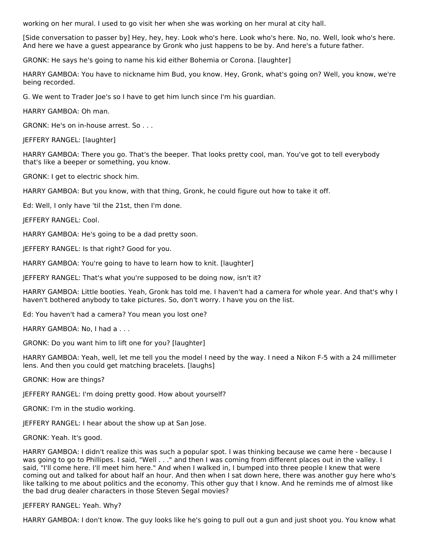working on her mural. I used to go visit her when she was working on her mural at city hall.

[Side conversation to passer by] Hey, hey, hey. Look who's here. Look who's here. No, no. Well, look who's here. And here we have a guest appearance by Gronk who just happens to be by. And here's a future father.

GRONK: He says he's going to name his kid either Bohemia or Corona. [laughter]

HARRY GAMBOA: You have to nickname him Bud, you know. Hey, Gronk, what's going on? Well, you know, we're being recorded.

G. We went to Trader Joe's so I have to get him lunch since I'm his guardian.

HARRY GAMBOA: Oh man.

GRONK: He's on in-house arrest. So . . .

JEFFERY RANGEL: [laughter]

HARRY GAMBOA: There you go. That's the beeper. That looks pretty cool, man. You've got to tell everybody that's like a beeper or something, you know.

GRONK: I get to electric shock him.

HARRY GAMBOA: But you know, with that thing, Gronk, he could figure out how to take it off.

Ed: Well, I only have 'til the 21st, then I'm done.

JEFFERY RANGEL: Cool.

HARRY GAMBOA: He's going to be a dad pretty soon.

JEFFERY RANGEL: Is that right? Good for you.

HARRY GAMBOA: You're going to have to learn how to knit. [laughter]

JEFFERY RANGEL: That's what you're supposed to be doing now, isn't it?

HARRY GAMBOA: Little booties. Yeah, Gronk has told me. I haven't had a camera for whole year. And that's why I haven't bothered anybody to take pictures. So, don't worry. I have you on the list.

Ed: You haven't had a camera? You mean you lost one?

HARRY GAMBOA: No, I had a . . .

GRONK: Do you want him to lift one for you? [laughter]

HARRY GAMBOA: Yeah, well, let me tell you the model I need by the way. I need a Nikon F-5 with a 24 millimeter lens. And then you could get matching bracelets. [laughs]

GRONK: How are things?

JEFFERY RANGEL: I'm doing pretty good. How about yourself?

GRONK: I'm in the studio working.

JEFFERY RANGEL: I hear about the show up at San Jose.

GRONK: Yeah. It's good.

HARRY GAMBOA: I didn't realize this was such a popular spot. I was thinking because we came here - because I was going to go to Phillipes. I said, "Well . . ." and then I was coming from different places out in the valley. I said, "I'll come here. I'll meet him here." And when I walked in, I bumped into three people I knew that were coming out and talked for about half an hour. And then when I sat down here, there was another guy here who's like talking to me about politics and the economy. This other guy that I know. And he reminds me of almost like the bad drug dealer characters in those Steven Segal movies?

JEFFERY RANGEL: Yeah. Why?

HARRY GAMBOA: I don't know. The guy looks like he's going to pull out a gun and just shoot you. You know what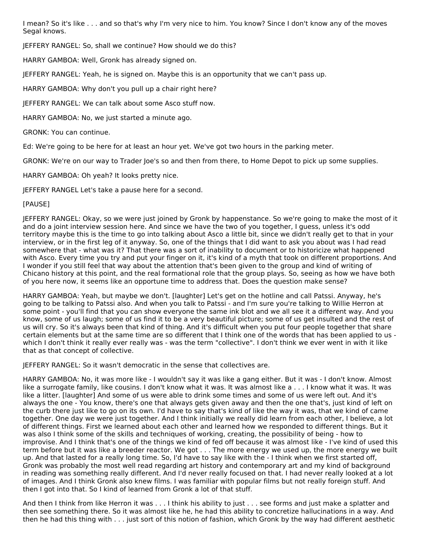I mean? So it's like . . . and so that's why I'm very nice to him. You know? Since I don't know any of the moves Segal knows.

JEFFERY RANGEL: So, shall we continue? How should we do this?

HARRY GAMBOA: Well, Gronk has already signed on.

JEFFERY RANGEL: Yeah, he is signed on. Maybe this is an opportunity that we can't pass up.

HARRY GAMBOA: Why don't you pull up a chair right here?

JEFFERY RANGEL: We can talk about some Asco stuff now.

HARRY GAMBOA: No, we just started a minute ago.

GRONK: You can continue.

Ed: We're going to be here for at least an hour yet. We've got two hours in the parking meter.

GRONK: We're on our way to Trader Joe's so and then from there, to Home Depot to pick up some supplies.

HARRY GAMBOA: Oh yeah? It looks pretty nice.

JEFFERY RANGEL Let's take a pause here for a second.

# [PAUSE]

JEFFERY RANGEL: Okay, so we were just joined by Gronk by happenstance. So we're going to make the most of it and do a joint interview session here. And since we have the two of you together, I guess, unless it's odd territory maybe this is the time to go into talking about Asco a little bit, since we didn't really get to that in your interview, or in the first leg of it anyway. So, one of the things that I did want to ask you about was I had read somewhere that - what was it? That there was a sort of inability to document or to historicize what happened with Asco. Every time you try and put your finger on it, it's kind of a myth that took on different proportions. And I wonder if you still feel that way about the attention that's been given to the group and kind of writing of Chicano history at this point, and the real formational role that the group plays. So, seeing as how we have both of you here now, it seems like an opportune time to address that. Does the question make sense?

HARRY GAMBOA: Yeah, but maybe we don't. [laughter] Let's get on the hotline and call Patssi. Anyway, he's going to be talking to Patssi also. And when you talk to Patssi - and I'm sure you're talking to Willie Herron at some point - you'll find that you can show everyone the same ink blot and we all see it a different way. And you know, some of us laugh; some of us find it to be a very beautiful picture; some of us get insulted and the rest of us will cry. So it's always been that kind of thing. And it's difficult when you put four people together that share certain elements but at the same time are so different that I think one of the words that has been applied to us which I don't think it really ever really was - was the term "collective". I don't think we ever went in with it like that as that concept of collective.

JEFFERY RANGEL: So it wasn't democratic in the sense that collectives are.

HARRY GAMBOA: No, it was more like - I wouldn't say it was like a gang either. But it was - I don't know. Almost like a surrogate family, like cousins. I don't know what it was. It was almost like a . . . I know what it was. It was like a litter. [laughter] And some of us were able to drink some times and some of us were left out. And it's always the one - You know, there's one that always gets given away and then the one that's, just kind of left on the curb there just like to go on its own. I'd have to say that's kind of like the way it was, that we kind of came together. One day we were just together. And I think initially we really did learn from each other, I believe, a lot of different things. First we learned about each other and learned how we responded to different things. But it was also I think some of the skills and techniques of working, creating, the possibility of being - how to improvise. And I think that's one of the things we kind of fed off because it was almost like - I've kind of used this term before but it was like a breeder reactor. We got . . . The more energy we used up, the more energy we built up. And that lasted for a really long time. So, I'd have to say like with the - I think when we first started off, Gronk was probably the most well read regarding art history and contemporary art and my kind of background in reading was something really different. And I'd never really focused on that. I had never really looked at a lot of images. And I think Gronk also knew films. I was familiar with popular films but not really foreign stuff. And then I got into that. So I kind of learned from Gronk a lot of that stuff.

And then I think from like Herron it was . . . I think his ability to just . . . see forms and just make a splatter and then see something there. So it was almost like he, he had this ability to concretize hallucinations in a way. And then he had this thing with . . . just sort of this notion of fashion, which Gronk by the way had different aesthetic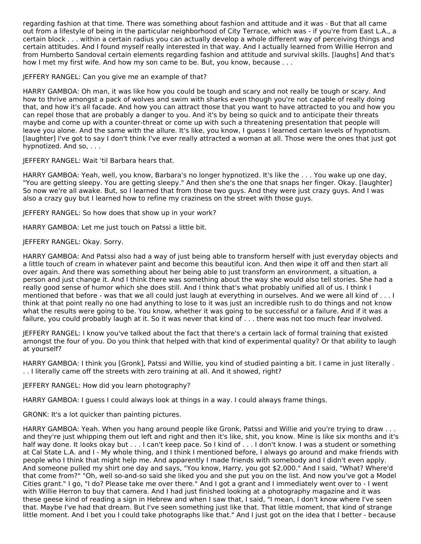regarding fashion at that time. There was something about fashion and attitude and it was - But that all came out from a lifestyle of being in the particular neighborhood of City Terrace, which was - if you're from East L.A., a certain block . . . within a certain radius you can actually develop a whole different way of perceiving things and certain attitudes. And I found myself really interested in that way. And I actually learned from Willie Herron and from Humberto Sandoval certain elements regarding fashion and attitude and survival skills. [laughs] And that's how I met my first wife. And how my son came to be. But, you know, because . . .

JEFFERY RANGEL: Can you give me an example of that?

HARRY GAMBOA: Oh man, it was like how you could be tough and scary and not really be tough or scary. And how to thrive amongst a pack of wolves and swim with sharks even though you're not capable of really doing that, and how it's all facade. And how you can attract those that you want to have attracted to you and how you can repel those that are probably a danger to you. And it's by being so quick and to anticipate their threats maybe and come up with a counter-threat or come up with such a threatening presentation that people will leave you alone. And the same with the allure. It's like, you know, I guess I learned certain levels of hypnotism. [laughter] I've got to say I don't think I've ever really attracted a woman at all. Those were the ones that just got hypnotized. And so, . . .

JEFFERY RANGEL: Wait 'til Barbara hears that.

HARRY GAMBOA: Yeah, well, you know, Barbara's no longer hypnotized. It's like the . . . You wake up one day, "You are getting sleepy. You are getting sleepy." And then she's the one that snaps her finger. Okay. [laughter] So now we're all awake. But, so I learned that from those two guys. And they were just crazy guys. And I was also a crazy guy but I learned how to refine my craziness on the street with those guys.

JEFFERY RANGEL: So how does that show up in your work?

HARRY GAMBOA: Let me just touch on Patssi a little bit.

# JEFFERY RANGEL: Okay. Sorry.

HARRY GAMBOA: And Patssi also had a way of just being able to transform herself with just everyday objects and a little touch of cream in whatever paint and become this beautiful icon. And then wipe it off and then start all over again. And there was something about her being able to just transform an environment, a situation, a person and just change it. And I think there was something about the way she would also tell stories. She had a really good sense of humor which she does still. And I think that's what probably unified all of us. I think I mentioned that before - was that we all could just laugh at everything in ourselves. And we were all kind of . . . I think at that point really no one had anything to lose to it was just an incredible rush to do things and not know what the results were going to be. You know, whether it was going to be successful or a failure. And if it was a failure, you could probably laugh at it. So it was never that kind of . . . there was not too much fear involved.

JEFFERY RANGEL: I know you've talked about the fact that there's a certain lack of formal training that existed amongst the four of you. Do you think that helped with that kind of experimental quality? Or that ability to laugh at yourself?

HARRY GAMBOA: I think you [Gronk], Patssi and Willie, you kind of studied painting a bit. I came in just literally . . . I literally came off the streets with zero training at all. And it showed, right?

JEFFERY RANGEL: How did you learn photography?

HARRY GAMBOA: I guess I could always look at things in a way. I could always frame things.

GRONK: It's a lot quicker than painting pictures.

HARRY GAMBOA: Yeah. When you hang around people like Gronk, Patssi and Willie and you're trying to draw . . . and they're just whipping them out left and right and then it's like, shit, you know. Mine is like six months and it's half way done. It looks okay but . . . I can't keep pace. So I kind of . . . I don't know. I was a student or something at Cal State L.A. and I - My whole thing, and I think I mentioned before, I always go around and make friends with people who I think that might help me. And apparently I made friends with somebody and I didn't even apply. And someone pulled my shirt one day and says, "You know, Harry, you got \$2,000." And I said, "What? Where'd that come from?" "Oh, well so-and-so said she liked you and she put you on the list. And now you've got a Model Cities grant." I go, "I do? Please take me over there." And I got a grant and I immediately went over to - I went with Willie Herron to buy that camera. And I had just finished looking at a photography magazine and it was these geese kind of reading a sign in Hebrew and when I saw that, I said, "I mean, I don't know where I've seen that. Maybe I've had that dream. But I've seen something just like that. That little moment, that kind of strange little moment. And I bet you I could take photographs like that." And I just got on the idea that I better - because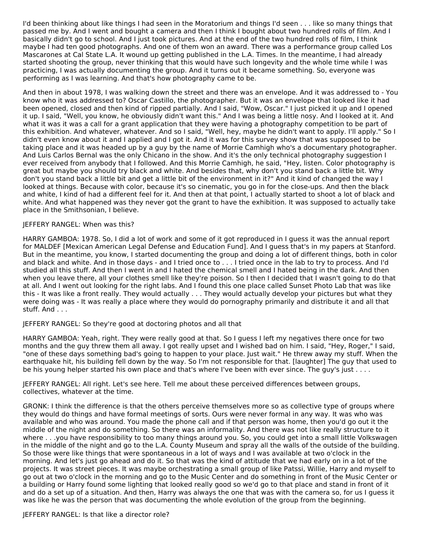I'd been thinking about like things I had seen in the Moratorium and things I'd seen . . . like so many things that passed me by. And I went and bought a camera and then I think I bought about two hundred rolls of film. And I basically didn't go to school. And I just took pictures. And at the end of the two hundred rolls of film, I think maybe I had ten good photographs. And one of them won an award. There was a performance group called Los Mascarones at Cal State L.A. It wound up getting published in the L.A. Times. In the meantime, I had already started shooting the group, never thinking that this would have such longevity and the whole time while I was practicing, I was actually documenting the group. And it turns out it became something. So, everyone was performing as I was learning. And that's how photography came to be.

And then in about 1978, I was walking down the street and there was an envelope. And it was addressed to - You know who it was addressed to? Oscar Castillo, the photographer. But it was an envelope that looked like it had been opened, closed and then kind of ripped partially. And I said, "Wow, Oscar." I just picked it up and I opened it up. I said, "Well, you know, he obviously didn't want this." And I was being a little nosy. And I looked at it. And what it was it was a call for a grant application that they were having a photography competition to be part of this exhibition. And whatever, whatever. And so I said, "Well, hey, maybe he didn't want to apply. I'll apply." So I didn't even know about it and I applied and I got it. And it was for this survey show that was supposed to be taking place and it was headed up by a guy by the name of Morrie Camhigh who's a documentary photographer. And Luis Carlos Bernal was the only Chicano in the show. And it's the only technical photography suggestion I ever received from anybody that I followed. And this Morrie Camhigh, he said, "Hey, listen. Color photography is great but maybe you should try black and white. And besides that, why don't you stand back a little bit. Why don't you stand back a little bit and get a little bit of the environment in it?" And it kind of changed the way I looked at things. Because with color, because it's so cinematic, you go in for the close-ups. And then the black and white, I kind of had a different feel for it. And then at that point, I actually started to shoot a lot of black and white. And what happened was they never got the grant to have the exhibition. It was supposed to actually take place in the Smithsonian, I believe.

#### JEFFERY RANGEL: When was this?

HARRY GAMBOA: 1978. So, I did a lot of work and some of it got reproduced in I guess it was the annual report for MALDEF [Mexican American Legal Defense and Education Fund]. And I guess that's in my papers at Stanford. But in the meantime, you know, I started documenting the group and doing a lot of different things, both in color and black and white. And in those days - and I tried once to . . . I tried once in the lab to try to process. And I'd studied all this stuff. And then I went in and I hated the chemical smell and I hated being in the dark. And then when you leave there, all your clothes smell like they're poison. So I then I decided that I wasn't going to do that at all. And I went out looking for the right labs. And I found this one place called Sunset Photo Lab that was like this - It was like a front really. They would actually . . . They would actually develop your pictures but what they were doing was - It was really a place where they would do pornography primarily and distribute it and all that stuff. And . . .

JEFFERY RANGEL: So they're good at doctoring photos and all that

HARRY GAMBOA: Yeah, right. They were really good at that. So I guess I left my negatives there once for two months and the guy threw them all away. I got really upset and I wished bad on him. I said, "Hey, Roger," I said, "one of these days something bad's going to happen to your place. Just wait." He threw away my stuff. When the earthquake hit, his building fell down by the way. So I'm not responsible for that. [laughter] The guy that used to be his young helper started his own place and that's where I've been with ever since. The guy's just . . . .

JEFFERY RANGEL: All right. Let's see here. Tell me about these perceived differences between groups, collectives, whatever at the time.

GRONK: I think the difference is that the others perceive themselves more so as collective type of groups where they would do things and have formal meetings of sorts. Ours were never formal in any way. It was who was available and who was around. You made the phone call and if that person was home, then you'd go out it the middle of the night and do something. So there was an informality. And there was not like really structure to it where . . .you have responsibility to too many things around you. So, you could get into a small little Volkswagen in the middle of the night and go to the L.A. County Museum and spray all the walls of the outside of the building. So those were like things that were spontaneous in a lot of ways and I was available at two o'clock in the morning. And let's just go ahead and do it. So that was the kind of attitude that we had early on in a lot of the projects. It was street pieces. It was maybe orchestrating a small group of like Patssi, Willie, Harry and myself to go out at two o'clock in the morning and go to the Music Center and do something in front of the Music Center or a building or Harry found some lighting that looked really good so we'd go to that place and stand in front of it and do a set up of a situation. And then, Harry was always the one that was with the camera so, for us I guess it was like he was the person that was documenting the whole evolution of the group from the beginning.

JEFFERY RANGEL: Is that like a director role?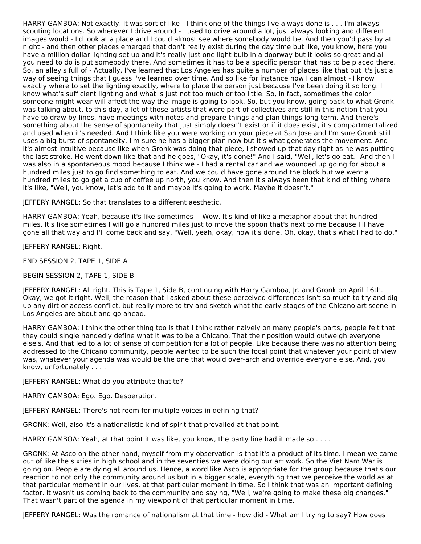HARRY GAMBOA: Not exactly. It was sort of like - I think one of the things I've always done is . . . I'm always scouting locations. So wherever I drive around - I used to drive around a lot, just always looking and different images would - I'd look at a place and I could almost see where somebody would be. And then you'd pass by at night - and then other places emerged that don't really exist during the day time but like, you know, here you have a million dollar lighting set up and it's really just one light bulb in a doorway but it looks so great and all you need to do is put somebody there. And sometimes it has to be a specific person that has to be placed there. So, an alley's full of - Actually, I've learned that Los Angeles has quite a number of places like that but it's just a way of seeing things that I guess I've learned over time. And so like for instance now I can almost - I know exactly where to set the lighting exactly, where to place the person just because I've been doing it so long. I know what's sufficient lighting and what is just not too much or too little. So, in fact, sometimes the color someone might wear will affect the way the image is going to look. So, but you know, going back to what Gronk was talking about, to this day, a lot of those artists that were part of collectives are still in this notion that you have to draw by-lines, have meetings with notes and prepare things and plan things long term. And there's something about the sense of spontaneity that just simply doesn't exist or if it does exist, it's compartmentalized and used when it's needed. And I think like you were working on your piece at San Jose and I'm sure Gronk still uses a big burst of spontaneity. I'm sure he has a bigger plan now but it's what generates the movement. And it's almost intuitive because like when Gronk was doing that piece, I showed up that day right as he was putting the last stroke. He went down like that and he goes, "Okay, it's done!" And I said, "Well, let's go eat." And then I was also in a spontaneous mood because I think we - I had a rental car and we wounded up going for about a hundred miles just to go find something to eat. And we could have gone around the block but we went a hundred miles to go get a cup of coffee up north, you know. And then it's always been that kind of thing where it's like, "Well, you know, let's add to it and maybe it's going to work. Maybe it doesn't."

JEFFERY RANGEL: So that translates to a different aesthetic.

HARRY GAMBOA: Yeah, because it's like sometimes -- Wow. It's kind of like a metaphor about that hundred miles. It's like sometimes I will go a hundred miles just to move the spoon that's next to me because I'll have gone all that way and I'll come back and say, "Well, yeah, okay, now it's done. Oh, okay, that's what I had to do."

JEFFERY RANGEL: Right.

END SESSION 2, TAPE 1, SIDE A

BEGIN SESSION 2, TAPE 1, SIDE B

JEFFERY RANGEL: All right. This is Tape 1, Side B, continuing with Harry Gamboa, Jr. and Gronk on April 16th. Okay, we got it right. Well, the reason that I asked about these perceived differences isn't so much to try and dig up any dirt or access conflict, but really more to try and sketch what the early stages of the Chicano art scene in Los Angeles are about and go ahead.

HARRY GAMBOA: I think the other thing too is that I think rather naively on many people's parts, people felt that they could single handedly define what it was to be a Chicano. That their position would outweigh everyone else's. And that led to a lot of sense of competition for a lot of people. Like because there was no attention being addressed to the Chicano community, people wanted to be such the focal point that whatever your point of view was, whatever your agenda was would be the one that would over-arch and override everyone else. And, you know, unfortunately . . . .

JEFFERY RANGEL: What do you attribute that to?

HARRY GAMBOA: Ego. Ego. Desperation.

JEFFERY RANGEL: There's not room for multiple voices in defining that?

GRONK: Well, also it's a nationalistic kind of spirit that prevailed at that point.

HARRY GAMBOA: Yeah, at that point it was like, you know, the party line had it made so . . . .

GRONK: At Asco on the other hand, myself from my observation is that it's a product of its time. I mean we came out of like the sixties in high school and in the seventies we were doing our art work. So the Viet Nam War is going on. People are dying all around us. Hence, a word like Asco is appropriate for the group because that's our reaction to not only the community around us but in a bigger scale, everything that we perceive the world as at that particular moment in our lives, at that particular moment in time. So I think that was an important defining factor. It wasn't us coming back to the community and saying, "Well, we're going to make these big changes." That wasn't part of the agenda in my viewpoint of that particular moment in time.

JEFFERY RANGEL: Was the romance of nationalism at that time - how did - What am I trying to say? How does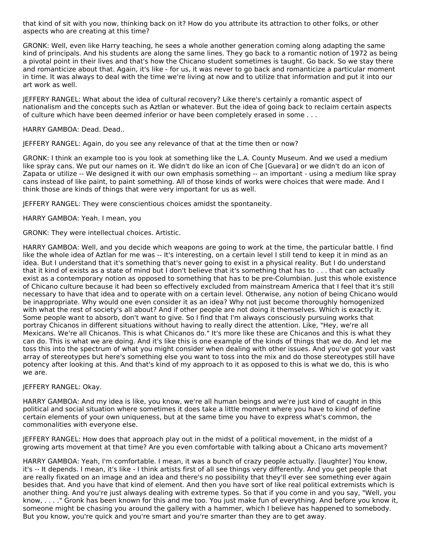that kind of sit with you now, thinking back on it? How do you attribute its attraction to other folks, or other aspects who are creating at this time?

GRONK: Well, even like Harry teaching, he sees a whole another generation coming along adapting the same kind of principals. And his students are along the same lines. They go back to a romantic notion of 1972 as being a pivotal point in their lives and that's how the Chicano student sometimes is taught. Go back. So we stay there and romanticize about that. Again, it's like - for us, it was never to go back and romanticize a particular moment in time. It was always to deal with the time we're living at now and to utilize that information and put it into our art work as well.

JEFFERY RANGEL: What about the idea of cultural recovery? Like there's certainly a romantic aspect of nationalism and the concepts such as Aztlan or whatever. But the idea of going back to reclaim certain aspects of culture which have been deemed inferior or have been completely erased in some . . .

HARRY GAMBOA: Dead. Dead..

JEFFERY RANGEL: Again, do you see any relevance of that at the time then or now?

GRONK: I think an example too is you look at something like the L.A. County Museum. And we used a medium like spray cans. We put our names on it. We didn't do like an icon of Che [Guevara] or we didn't do an icon of Zapata or utilize -- We designed it with our own emphasis something -- an important - using a medium like spray cans instead of like paint, to paint something. All of those kinds of works were choices that were made. And I think those are kinds of things that were very important for us as well.

JEFFERY RANGEL: They were conscientious choices amidst the spontaneity.

HARRY GAMBOA: Yeah. I mean, you

GRONK: They were intellectual choices. Artistic.

HARRY GAMBOA: Well, and you decide which weapons are going to work at the time, the particular battle. I find like the whole idea of Aztlan for me was -- It's interesting, on a certain level I still tend to keep it in mind as an idea. But I understand that it's something that's never going to exist in a physical reality. But I do understand that it kind of exists as a state of mind but I don't believe that it's something that has to . . . that can actually exist as a contemporary notion as opposed to something that has to be pre-Columbian. Just this whole existence of Chicano culture because it had been so effectively excluded from mainstream America that I feel that it's still necessary to have that idea and to operate with on a certain level. Otherwise, any notion of being Chicano would be inappropriate. Why would one even consider it as an idea? Why not just become thoroughly homogenized with what the rest of society's all about? And if other people are not doing it themselves. Which is exactly it. Some people want to absorb, don't want to give. So I find that I'm always consciously pursuing works that portray Chicanos in different situations without having to really direct the attention. Like, "Hey, we're all Mexicans. We're all Chicanos. This is what Chicanos do." It's more like these are Chicanos and this is what they can do. This is what we are doing. And it's like this is one example of the kinds of things that we do. And let me toss this into the spectrum of what you might consider when dealing with other issues. And you've got your vast array of stereotypes but here's something else you want to toss into the mix and do those stereotypes still have potency after looking at this. And that's kind of my approach to it as opposed to this is what we do, this is who we are.

#### JEFFERY RANGEL: Okay.

HARRY GAMBOA: And my idea is like, you know, we're all human beings and we're just kind of caught in this political and social situation where sometimes it does take a little moment where you have to kind of define certain elements of your own uniqueness, but at the same time you have to express what's common, the commonalities with everyone else.

JEFFERY RANGEL: How does that approach play out in the midst of a political movement, in the midst of a growing arts movement at that time? Are you even comfortable with talking about a Chicano arts movement?

HARRY GAMBOA: Yeah, I'm comfortable. I mean, it was a bunch of crazy people actually. [laughter] You know, it's -- It depends. I mean, it's like - I think artists first of all see things very differently. And you get people that are really fixated on an image and an idea and there's no possibility that they'll ever see something ever again besides that. And you have that kind of element. And then you have sort of like real political extremists which is another thing. And you're just always dealing with extreme types. So that if you come in and you say, "Well, you know, . . . ." Gronk has been known for this and me too. You just make fun of everything. And before you know it, someone might be chasing you around the gallery with a hammer, which I believe has happened to somebody. But you know, you're quick and you're smart and you're smarter than they are to get away.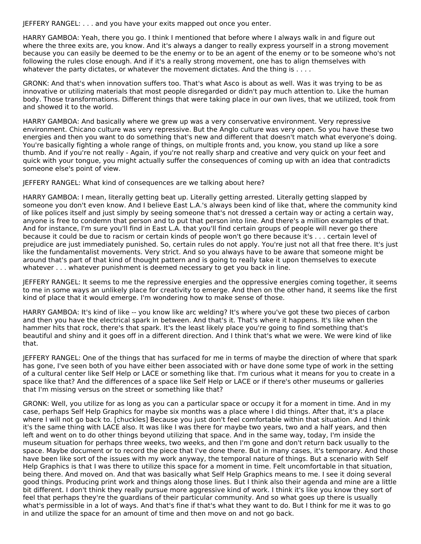JEFFERY RANGEL: . . . and you have your exits mapped out once you enter.

HARRY GAMBOA: Yeah, there you go. I think I mentioned that before where I always walk in and figure out where the three exits are, you know. And it's always a danger to really express yourself in a strong movement because you can easily be deemed to be the enemy or to be an agent of the enemy or to be someone who's not following the rules close enough. And if it's a really strong movement, one has to align themselves with whatever the party dictates, or whatever the movement dictates. And the thing is . . . .

GRONK: And that's when innovation suffers too. That's what Asco is about as well. Was it was trying to be as innovative or utilizing materials that most people disregarded or didn't pay much attention to. Like the human body. Those transformations. Different things that were taking place in our own lives, that we utilized, took from and showed it to the world.

HARRY GAMBOA: And basically where we grew up was a very conservative environment. Very repressive environment. Chicano culture was very repressive. But the Anglo culture was very open. So you have these two energies and then you want to do something that's new and different that doesn't match what everyone's doing. You're basically fighting a whole range of things, on multiple fronts and, you know, you stand up like a sore thumb. And if you're not really - Again, if you're not really sharp and creative and very quick on your feet and quick with your tongue, you might actually suffer the consequences of coming up with an idea that contradicts someone else's point of view.

JEFFERY RANGEL: What kind of consequences are we talking about here?

HARRY GAMBOA: I mean, literally getting beat up. Literally getting arrested. Literally getting slapped by someone you don't even know. And I believe East L.A.'s always been kind of like that, where the community kind of like polices itself and just simply by seeing someone that's not dressed a certain way or acting a certain way, anyone is free to condemn that person and to put that person into line. And there's a million examples of that. And for instance, I'm sure you'll find in East L.A. that you'll find certain groups of people will never go there because it could be due to racism or certain kinds of people won't go there because it's . . . certain level of prejudice are just immediately punished. So, certain rules do not apply. You're just not all that free there. It's just like the fundamentalist movements. Very strict. And so you always have to be aware that someone might be around that's part of that kind of thought pattern and is going to really take it upon themselves to execute whatever . . . whatever punishment is deemed necessary to get you back in line.

JEFFERY RANGEL: It seems to me the repressive energies and the oppressive energies coming together, it seems to me in some ways an unlikely place for creativity to emerge. And then on the other hand, it seems like the first kind of place that it would emerge. I'm wondering how to make sense of those.

HARRY GAMBOA: It's kind of like -- you know like arc welding? It's where you've got these two pieces of carbon and then you have the electrical spark in between. And that's it. That's where it happens. It's like when the hammer hits that rock, there's that spark. It's the least likely place you're going to find something that's beautiful and shiny and it goes off in a different direction. And I think that's what we were. We were kind of like that.

JEFFERY RANGEL: One of the things that has surfaced for me in terms of maybe the direction of where that spark has gone, I've seen both of you have either been associated with or have done some type of work in the setting of a cultural center like Self Help or LACE or something like that. I'm curious what it means for you to create in a space like that? And the differences of a space like Self Help or LACE or if there's other museums or galleries that I'm missing versus on the street or something like that?

GRONK: Well, you utilize for as long as you can a particular space or occupy it for a moment in time. And in my case, perhaps Self Help Graphics for maybe six months was a place where I did things. After that, it's a place where I will not go back to. [chuckles] Because you just don't feel comfortable within that situation. And I think it's the same thing with LACE also. It was like I was there for maybe two years, two and a half years, and then left and went on to do other things beyond utilizing that space. And in the same way, today, I'm inside the museum situation for perhaps three weeks, two weeks, and then I'm gone and don't return back usually to the space. Maybe document or to record the piece that I've done there. But in many cases, it's temporary. And those have been like sort of the issues with my work anyway, the temporal nature of things. But a scenario with Self Help Graphics is that I was there to utilize this space for a moment in time. Felt uncomfortable in that situation, being there. And moved on. And that was basically what Self Help Graphics means to me. I see it doing several good things. Producing print work and things along those lines. But I think also their agenda and mine are a little bit different. I don't think they really pursue more aggressive kind of work. I think it's like you know they sort of feel that perhaps they're the guardians of their particular community. And so what goes up there is usually what's permissible in a lot of ways. And that's fine if that's what they want to do. But I think for me it was to go in and utilize the space for an amount of time and then move on and not go back.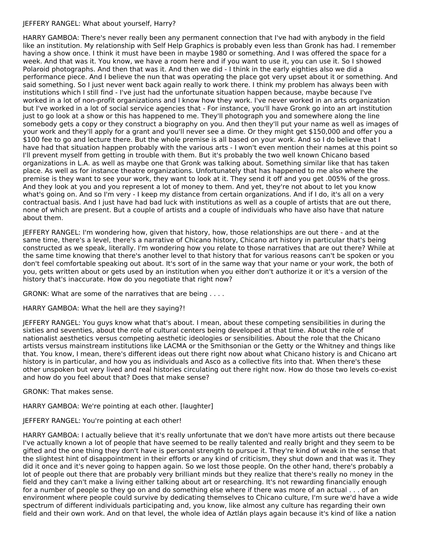#### JEFFERY RANGEL: What about yourself, Harry?

HARRY GAMBOA: There's never really been any permanent connection that I've had with anybody in the field like an institution. My relationship with Self Help Graphics is probably even less than Gronk has had. I remember having a show once. I think it must have been in maybe 1980 or something. And I was offered the space for a week. And that was it. You know, we have a room here and if you want to use it, you can use it. So I showed Polaroid photographs. And then that was it. And then we did - I think in the early eighties also we did a performance piece. And I believe the nun that was operating the place got very upset about it or something. And said something. So I just never went back again really to work there. I think my problem has always been with institutions which I still find - I've just had the unfortunate situation happen because, maybe because I've worked in a lot of non-profit organizations and I know how they work. I've never worked in an arts organization but I've worked in a lot of social service agencies that - For instance, you'll have Gronk go into an art institution just to go look at a show or this has happened to me. They'll photograph you and somewhere along the line somebody gets a copy or they construct a biography on you. And then they'll put your name as well as images of your work and they'll apply for a grant and you'll never see a dime. Or they might get \$150,000 and offer you a \$100 fee to go and lecture there. But the whole premise is all based on your work. And so I do believe that I have had that situation happen probably with the various arts - I won't even mention their names at this point so I'll prevent myself from getting in trouble with them. But it's probably the two well known Chicano based organizations in L.A. as well as maybe one that Gronk was talking about. Something similar like that has taken place. As well as for instance theatre organizations. Unfortunately that has happened to me also where the premise is they want to see your work, they want to look at it. They send it off and you get .005% of the gross. And they look at you and you represent a lot of money to them. And yet, they're not about to let you know what's going on. And so I'm very - I keep my distance from certain organizations. And if I do, it's all on a very contractual basis. And I just have had bad luck with institutions as well as a couple of artists that are out there, none of which are present. But a couple of artists and a couple of individuals who have also have that nature about them.

JEFFERY RANGEL: I'm wondering how, given that history, how, those relationships are out there - and at the same time, there's a level, there's a narrative of Chicano history, Chicano art history in particular that's being constructed as we speak, literally. I'm wondering how you relate to those narratives that are out there? While at the same time knowing that there's another level to that history that for various reasons can't be spoken or you don't feel comfortable speaking out about. It's sort of in the same way that your name or your work, the both of you, gets written about or gets used by an institution when you either don't authorize it or it's a version of the history that's inaccurate. How do you negotiate that right now?

GRONK: What are some of the narratives that are being . . . .

HARRY GAMBOA: What the hell are they saying?!

JEFFERY RANGEL: You guys know what that's about. I mean, about these competing sensibilities in during the sixties and seventies, about the role of cultural centers being developed at that time. About the role of nationalist aesthetics versus competing aesthetic ideologies or sensibilities. About the role that the Chicano artists versus mainstream institutions like LACMA or the Smithsonian or the Getty or the Whitney and things like that. You know, I mean, there's different ideas out there right now about what Chicano history is and Chicano art history is in particular, and how you as individuals and Asco as a collective fits into that. When there's these other unspoken but very lived and real histories circulating out there right now. How do those two levels co-exist and how do you feel about that? Does that make sense?

GRONK: That makes sense.

HARRY GAMBOA: We're pointing at each other. [laughter]

JEFFERY RANGEL: You're pointing at each other!

HARRY GAMBOA: I actually believe that it's really unfortunate that we don't have more artists out there because I've actually known a lot of people that have seemed to be really talented and really bright and they seem to be gifted and the one thing they don't have is personal strength to pursue it. They're kind of weak in the sense that the slightest hint of disappointment in their efforts or any kind of criticism, they shut down and that was it. They did it once and it's never going to happen again. So we lost those people. On the other hand, there's probably a lot of people out there that are probably very brilliant minds but they realize that there's really no money in the field and they can't make a living either talking about art or researching. It's not rewarding financially enough for a number of people so they go on and do something else where if there was more of an actual . . . of an environment where people could survive by dedicating themselves to Chicano culture, I'm sure we'd have a wide spectrum of different individuals participating and, you know, like almost any culture has regarding their own field and their own work. And on that level, the whole idea of Aztlán plays again because it's kind of like a nation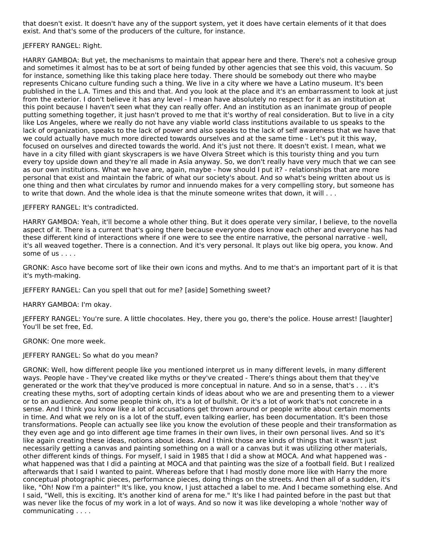that doesn't exist. It doesn't have any of the support system, yet it does have certain elements of it that does exist. And that's some of the producers of the culture, for instance.

#### JEFFERY RANGEL: Right.

HARRY GAMBOA: But yet, the mechanisms to maintain that appear here and there. There's not a cohesive group and sometimes it almost has to be at sort of being funded by other agencies that see this void, this vacuum. So for instance, something like this taking place here today. There should be somebody out there who maybe represents Chicano culture funding such a thing. We live in a city where we have a Latino museum. It's been published in the L.A. Times and this and that. And you look at the place and it's an embarrassment to look at just from the exterior. I don't believe it has any level - I mean have absolutely no respect for it as an institution at this point because I haven't seen what they can really offer. And an institution as an inanimate group of people putting something together, it just hasn't proved to me that it's worthy of real consideration. But to live in a city like Los Angeles, where we really do not have any viable world class institutions available to us speaks to the lack of organization, speaks to the lack of power and also speaks to the lack of self awareness that we have that we could actually have much more directed towards ourselves and at the same time - Let's put it this way, focused on ourselves and directed towards the world. And it's just not there. It doesn't exist. I mean, what we have in a city filled with giant skyscrapers is we have Olvera Street which is this touristy thing and you turn every toy upside down and they're all made in Asia anyway. So, we don't really have very much that we can see as our own institutions. What we have are, again, maybe - how should I put it? - relationships that are more personal that exist and maintain the fabric of what our society's about. And so what's being written about us is one thing and then what circulates by rumor and innuendo makes for a very compelling story, but someone has to write that down. And the whole idea is that the minute someone writes that down, it will . . .

#### JEFFERY RANGEL: It's contradicted.

HARRY GAMBOA: Yeah, it'll become a whole other thing. But it does operate very similar, I believe, to the novella aspect of it. There is a current that's going there because everyone does know each other and everyone has had these different kind of interactions where if one were to see the entire narrative, the personal narrative - well, it's all weaved together. There is a connection. And it's very personal. It plays out like big opera, you know. And some of us . . . .

GRONK: Asco have become sort of like their own icons and myths. And to me that's an important part of it is that it's myth-making.

JEFFERY RANGEL: Can you spell that out for me? [aside] Something sweet?

HARRY GAMBOA: I'm okay.

JEFFERY RANGEL: You're sure. A little chocolates. Hey, there you go, there's the police. House arrest! [laughter] You'll be set free, Ed.

GRONK: One more week.

#### JEFFERY RANGEL: So what do you mean?

GRONK: Well, how different people like you mentioned interpret us in many different levels, in many different ways. People have - They've created like myths or they've created - There's things about them that they've generated or the work that they've produced is more conceptual in nature. And so in a sense, that's . . . it's creating these myths, sort of adopting certain kinds of ideas about who we are and presenting them to a viewer or to an audience. And some people think oh, it's a lot of bullshit. Or it's a lot of work that's not concrete in a sense. And I think you know like a lot of accusations get thrown around or people write about certain moments in time. And what we rely on is a lot of the stuff, even talking earlier, has been documentation. It's been those transformations. People can actually see like you know the evolution of these people and their transformation as they even age and go into different age time frames in their own lives, in their own personal lives. And so it's like again creating these ideas, notions about ideas. And I think those are kinds of things that it wasn't just necessarily getting a canvas and painting something on a wall or a canvas but it was utilizing other materials, other different kinds of things. For myself, I said in 1985 that I did a show at MOCA. And what happened was what happened was that I did a painting at MOCA and that painting was the size of a football field. But I realized afterwards that I said I wanted to paint. Whereas before that I had mostly done more like with Harry the more conceptual photographic pieces, performance pieces, doing things on the streets. And then all of a sudden, it's like, "Oh! Now I'm a painter!" It's like, you know, I just attached a label to me. And I became something else. And I said, "Well, this is exciting. It's another kind of arena for me." It's like I had painted before in the past but that was never like the focus of my work in a lot of ways. And so now it was like developing a whole 'nother way of communicating . . . .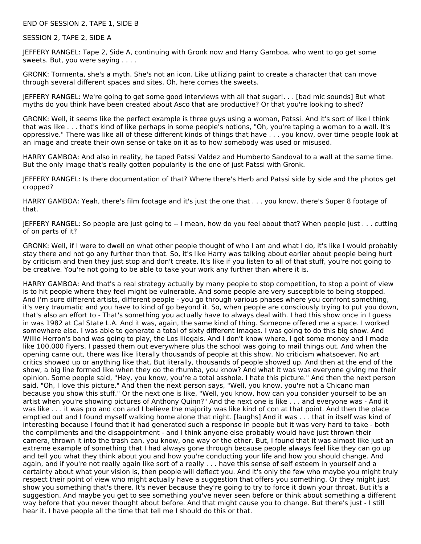END OF SESSION 2, TAPE 1, SIDE B

SESSION 2, TAPE 2, SIDE A

JEFFERY RANGEL: Tape 2, Side A, continuing with Gronk now and Harry Gamboa, who went to go get some sweets. But, you were saying . . . .

GRONK: Tormenta, she's a myth. She's not an icon. Like utilizing paint to create a character that can move through several different spaces and sites. Oh, here comes the sweets.

JEFFERY RANGEL: We're going to get some good interviews with all that sugar!. . . [bad mic sounds] But what myths do you think have been created about Asco that are productive? Or that you're looking to shed?

GRONK: Well, it seems like the perfect example is three guys using a woman, Patssi. And it's sort of like I think that was like . . . that's kind of like perhaps in some people's notions, "Oh, you're taping a woman to a wall. It's oppressive." There was like all of these different kinds of things that have . . . you know, over time people look at an image and create their own sense or take on it as to how somebody was used or misused.

HARRY GAMBOA: And also in reality, he taped Patssi Valdez and Humberto Sandoval to a wall at the same time. But the only image that's really gotten popularity is the one of just Patssi with Gronk.

JEFFERY RANGEL: Is there documentation of that? Where there's Herb and Patssi side by side and the photos get cropped?

HARRY GAMBOA: Yeah, there's film footage and it's just the one that . . . you know, there's Super 8 footage of that.

JEFFERY RANGEL: So people are just going to -- I mean, how do you feel about that? When people just . . . cutting of on parts of it?

GRONK: Well, if I were to dwell on what other people thought of who I am and what I do, it's like I would probably stay there and not go any further than that. So, it's like Harry was talking about earlier about people being hurt by criticism and then they just stop and don't create. It's like if you listen to all of that stuff, you're not going to be creative. You're not going to be able to take your work any further than where it is.

HARRY GAMBOA: And that's a real strategy actually by many people to stop competition, to stop a point of view is to hit people where they feel might be vulnerable. And some people are very susceptible to being stopped. And I'm sure different artists, different people - you go through various phases where you confront something, it's very traumatic and you have to kind of go beyond it. So, when people are consciously trying to put you down, that's also an effort to - That's something you actually have to always deal with. I had this show once in I guess in was 1982 at Cal State L.A. And it was, again, the same kind of thing. Someone offered me a space. I worked somewhere else. I was able to generate a total of sixty different images. I was going to do this big show. And Willie Herron's band was going to play, the Los Illegals. And I don't know where, I got some money and I made like 100,000 flyers. I passed them out everywhere plus the school was going to mail things out. And when the opening came out, there was like literally thousands of people at this show. No criticism whatsoever. No art critics showed up or anything like that. But literally, thousands of people showed up. And then at the end of the show, a big line formed like when they do the rhumba, you know? And what it was was everyone giving me their opinion. Some people said, "Hey, you know, you're a total asshole. I hate this picture." And then the next person said, "Oh, I love this picture." And then the next person says, "Well, you know, you're not a Chicano man because you show this stuff." Or the next one is like, "Well, you know, how can you consider yourself to be an artist when you're showing pictures of Anthony Quinn?" And the next one is like . . . and everyone was - And it was like . . . it was pro and con and I believe the majority was like kind of con at that point. And then the place emptied out and I found myself walking home alone that night. [laughs] And it was . . . that in itself was kind of interesting because I found that it had generated such a response in people but it was very hard to take - both the compliments and the disappointment - and I think anyone else probably would have just thrown their camera, thrown it into the trash can, you know, one way or the other. But, I found that it was almost like just an extreme example of something that I had always gone through because people always feel like they can go up and tell you what they think about you and how you're conducting your life and how you should change. And again, and if you're not really again like sort of a really . . . have this sense of self esteem in yourself and a certainty about what your vision is, then people will deflect you. And it's only the few who maybe you might truly respect their point of view who might actually have a suggestion that offers you something. Or they might just show you something that's there. It's never because they're going to try to force it down your throat. But it's a suggestion. And maybe you get to see something you've never seen before or think about something a different way before that you never thought about before. And that might cause you to change. But there's just - I still hear it. I have people all the time that tell me I should do this or that.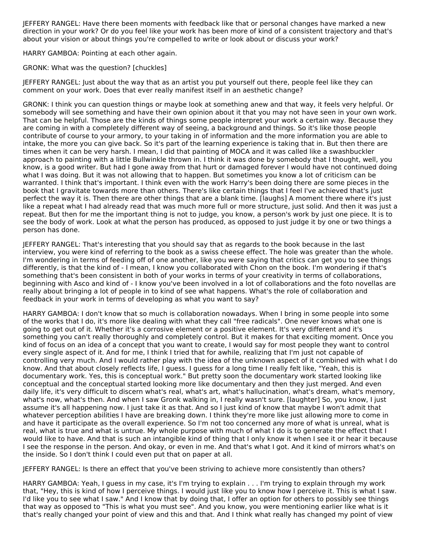JEFFERY RANGEL: Have there been moments with feedback like that or personal changes have marked a new direction in your work? Or do you feel like your work has been more of kind of a consistent trajectory and that's about your vision or about things you're compelled to write or look about or discuss your work?

HARRY GAMBOA: Pointing at each other again.

GRONK: What was the question? [chuckles]

JEFFERY RANGEL: Just about the way that as an artist you put yourself out there, people feel like they can comment on your work. Does that ever really manifest itself in an aesthetic change?

GRONK: I think you can question things or maybe look at something anew and that way, it feels very helpful. Or somebody will see something and have their own opinion about it that you may not have seen in your own work. That can be helpful. Those are the kinds of things some people interpret your work a certain way. Because they are coming in with a completely different way of seeing, a background and things. So it's like those people contribute of course to your armory, to your taking in of information and the more information you are able to intake, the more you can give back. So it's part of the learning experience is taking that in. But then there are times when it can be very harsh. I mean, I did that painting of MOCA and it was called like a swashbuckler approach to painting with a little Bullwinkle thrown in. I think it was done by somebody that I thought, well, you know, is a good writer. But had I gone away from that hurt or damaged forever I would have not continued doing what I was doing. But it was not allowing that to happen. But sometimes you know a lot of criticism can be warranted. I think that's important. I think even with the work Harry's been doing there are some pieces in the book that I gravitate towards more than others. There's like certain things that I feel I've achieved that's just perfect the way it is. Then there are other things that are a blank time. [laughs] A moment there where it's just like a repeat what I had already read that was much more full or more structure, just solid. And then it was just a repeat. But then for me the important thing is not to judge, you know, a person's work by just one piece. It is to see the body of work. Look at what the person has produced, as opposed to just judge it by one or two things a person has done.

JEFFERY RANGEL: That's interesting that you should say that as regards to the book because in the last interview, you were kind of referring to the book as a swiss cheese effect. The hole was greater than the whole. I'm wondering in terms of feeding off of one another, like you were saying that critics can get you to see things differently, is that the kind of - I mean, I know you collaborated with Chon on the book. I'm wondering if that's something that's been consistent in both of your works in terms of your creativity in terms of collaborations, beginning with Asco and kind of - I know you've been involved in a lot of collaborations and the foto novellas are really about bringing a lot of people in to kind of see what happens. What's the role of collaboration and feedback in your work in terms of developing as what you want to say?

HARRY GAMBOA: I don't know that so much is collaboration nowadays. When I bring in some people into some of the works that I do, it's more like dealing with what they call "free radicals". One never knows what one is going to get out of it. Whether it's a corrosive element or a positive element. It's very different and it's something you can't really thoroughly and completely control. But it makes for that exciting moment. Once you kind of focus on an idea of a concept that you want to create, I would say for most people they want to control every single aspect of it. And for me, I think I tried that for awhile, realizing that I'm just not capable of controlling very much. And I would rather play with the idea of the unknown aspect of it combined with what I do know. And that about closely reflects life, I guess. I guess for a long time I really felt like, "Yeah, this is documentary work. Yes, this is conceptual work." But pretty soon the documentary work started looking like conceptual and the conceptual started looking more like documentary and then they just merged. And even daily life, it's very difficult to discern what's real, what's art, what's hallucination, what's dream, what's memory, what's now, what's then. And when I saw Gronk walking in, I really wasn't sure. [laughter] So, you know, I just assume it's all happening now. I just take it as that. And so I just kind of know that maybe I won't admit that whatever perception abilities I have are breaking down. I think they're more like just allowing more to come in and have it participate as the overall experience. So I'm not too concerned any more of what is unreal, what is real, what is true and what is untrue. My whole purpose with much of what I do is to generate the effect that I would like to have. And that is such an intangible kind of thing that I only know it when I see it or hear it because I see the response in the person. And okay, or even in me. And that's what I got. And it kind of mirrors what's on the inside. So I don't think I could even put that on paper at all.

JEFFERY RANGEL: Is there an effect that you've been striving to achieve more consistently than others?

HARRY GAMBOA: Yeah, I guess in my case, it's I'm trying to explain . . . I'm trying to explain through my work that, "Hey, this is kind of how I perceive things. I would just like you to know how I perceive it. This is what I saw. I'd like you to see what I saw." And I know that by doing that, I offer an option for others to possibly see things that way as opposed to "This is what you must see". And you know, you were mentioning earlier like what is it that's really changed your point of view and this and that. And I think what really has changed my point of view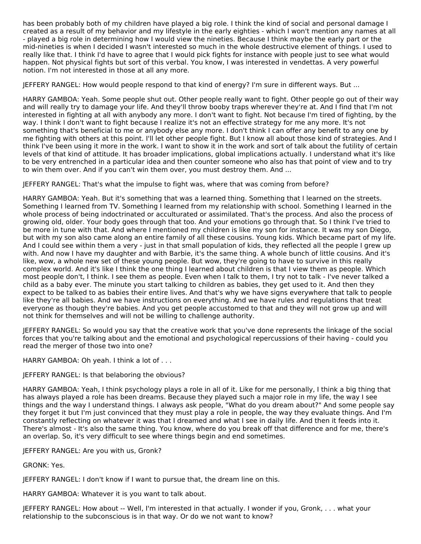has been probably both of my children have played a big role. I think the kind of social and personal damage I created as a result of my behavior and my lifestyle in the early eighties - which I won't mention any names at all - played a big role in determining how I would view the nineties. Because I think maybe the early part or the mid-nineties is when I decided I wasn't interested so much in the whole destructive element of things. I used to really like that. I think I'd have to agree that I would pick fights for instance with people just to see what would happen. Not physical fights but sort of this verbal. You know, I was interested in vendettas. A very powerful notion. I'm not interested in those at all any more.

JEFFERY RANGEL: How would people respond to that kind of energy? I'm sure in different ways. But ...

HARRY GAMBOA: Yeah. Some people shut out. Other people really want to fight. Other people go out of their way and will really try to damage your life. And they'll throw booby traps wherever they're at. And I find that I'm not interested in fighting at all with anybody any more. I don't want to fight. Not because I'm tired of fighting, by the way. I think I don't want to fight because I realize it's not an effective strategy for me any more. It's not something that's beneficial to me or anybody else any more. I don't think I can offer any benefit to any one by me fighting with others at this point. I'll let other people fight. But I know all about those kind of strategies. And I think I've been using it more in the work. I want to show it in the work and sort of talk about the futility of certain levels of that kind of attitude. It has broader implications, global implications actually. I understand what it's like to be very entrenched in a particular idea and then counter someone who also has that point of view and to try to win them over. And if you can't win them over, you must destroy them. And ...

JEFFERY RANGEL: That's what the impulse to fight was, where that was coming from before?

HARRY GAMBOA: Yeah. But it's something that was a learned thing. Something that I learned on the streets. Something I learned from TV. Something I learned from my relationship with school. Something I learned in the whole process of being indoctrinated or acculturated or assimilated. That's the process. And also the process of growing old, older. Your body goes through that too. And your emotions go through that. So I think I've tried to be more in tune with that. And where I mentioned my children is like my son for instance. It was my son Diego, but with my son also came along an entire family of all these cousins. Young kids. Which became part of my life. And I could see within them a very - just in that small population of kids, they reflected all the people I grew up with. And now I have my daughter and with Barbie, it's the same thing. A whole bunch of little cousins. And it's like, wow, a whole new set of these young people. But wow, they're going to have to survive in this really complex world. And it's like I think the one thing I learned about children is that I view them as people. Which most people don't, I think. I see them as people. Even when I talk to them, I try not to talk - I've never talked a child as a baby ever. The minute you start talking to children as babies, they get used to it. And then they expect to be talked to as babies their entire lives. And that's why we have signs everywhere that talk to people like they're all babies. And we have instructions on everything. And we have rules and regulations that treat everyone as though they're babies. And you get people accustomed to that and they will not grow up and will not think for themselves and will not be willing to challenge authority.

JEFFERY RANGEL: So would you say that the creative work that you've done represents the linkage of the social forces that you're talking about and the emotional and psychological repercussions of their having - could you read the merger of those two into one?

HARRY GAMBOA: Oh yeah. I think a lot of . . .

JEFFERY RANGEL: Is that belaboring the obvious?

HARRY GAMBOA: Yeah, I think psychology plays a role in all of it. Like for me personally, I think a big thing that has always played a role has been dreams. Because they played such a major role in my life, the way I see things and the way I understand things. I always ask people, "What do you dream about?" And some people say they forget it but I'm just convinced that they must play a role in people, the way they evaluate things. And I'm constantly reflecting on whatever it was that I dreamed and what I see in daily life. And then it feeds into it. There's almost - It's also the same thing. You know, where do you break off that difference and for me, there's an overlap. So, it's very difficult to see where things begin and end sometimes.

JEFFERY RANGEL: Are you with us, Gronk?

GRONK: Yes.

JEFFERY RANGEL: I don't know if I want to pursue that, the dream line on this.

HARRY GAMBOA: Whatever it is you want to talk about.

JEFFERY RANGEL: How about -- Well, I'm interested in that actually. I wonder if you, Gronk, . . . what your relationship to the subconscious is in that way. Or do we not want to know?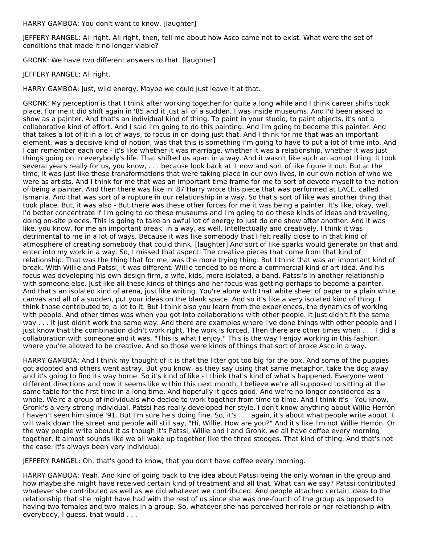HARRY GAMBOA: You don't want to know. [laughter]

JEFFERY RANGEL: All right. All right, then, tell me about how Asco came not to exist. What were the set of conditions that made it no longer viable?

GRONK: We have two different answers to that. [laughter]

JEFFERY RANGEL: All right.

HARRY GAMBOA: Just, wild energy. Maybe we could just leave it at that.

GRONK: My perception is that I think after working together for quite a long while and I think career shifts took place. For me it did shift again in '85 and it just all of a sudden, I was inside museums. And I'd been asked to show as a painter. And that's an individual kind of thing. To paint in your studio, to paint objects, it's not a collaborative kind of effort. And I said I'm going to do this painting. And I'm going to become this painter. And that takes a lot of it in a lot of ways, to focus in on doing just that. And I think for me that was an important element, was a decisive kind of notion, was that this is something I'm going to have to put a lot of time into. And I can remember each one - it's like whether it was marriage, whether it was a relationship, whether it was just things going on in everybody's life. That shifted us apart in a way. And it wasn't like such an abrupt thing. It took several years really for us, you know, . . . because look back at it now and sort of like figure it out. But at the time, it was just like these transformations that were taking place in our own lives, in our own notion of who we were as artists. And I think for me that was an important time frame for me to sort of devote myself to the notion of being a painter. And then there was like in '87 Harry wrote this piece that was performed at LACE, called Ismania. And that was sort of a rupture in our relationship in a way. So that's sort of like was another thing that took place. But, it was also - But there was these other forces for me it was being a painter. It's like, okay, well, I'd better concentrate if I'm going to do these museums and I'm going to do these kinds of ideas and traveling, doing on-site pieces. This is going to take an awful lot of energy to just do one show after another. And it was like, you know, for me an important break, in a way, as well. Intellectually and creatively, I think it was detrimental to me in a lot of ways. Because it was like somebody that I felt really close to in that kind of atmosphere of creating somebody that could think. [laughter] And sort of like sparks would generate on that and enter into my work in a way. So, I missed that aspect. The creative pieces that come from that kind of relationship. That was the thing that for me, was the more trying thing. But I think that was an important kind of break. With Willie and Patssi, it was different. Willie tended to be more a commercial kind of art idea. And his focus was developing his own design firm, a wife, kids, more isolated, a band. Patssi's in another relationship with someone else. Just like all these kinds of things and her focus was getting perhaps to become a painter. And that's an isolated kind of arena, just like writing. You're alone with that white sheet of paper or a plain white canvas and all of a sudden, put your ideas on the blank space. And so it's like a very isolated kind of thing. I think those contributed to, a lot to it. But I think also you learn from the experiences, the dynamics of working with people. And other times was when you got into collaborations with other people. It just didn't fit the same way . . . It just didn't work the same way. And there are examples where I've done things with other people and I just know that the combination didn't work right. The work is forced. Then there are other times when . . . I did a collaboration with someone and it was, "This is what I enjoy." This is the way I enjoy working in this fashion, where you're allowed to be creative. And so those were kinds of things that sort of broke Asco in a way.

HARRY GAMBOA: And I think my thought of it is that the litter got too big for the box. And some of the puppies got adopted and others went astray. But you know, as they say using that same metaphor, take the dog away and it's going to find its way home. So it's kind of like - I think that's kind of what's happened. Everyone went different directions and now it seems like within this next month, I believe we're all supposed to sitting at the same table for the first time in a long time. And hopefully it goes good. And we're no longer considered as a whole. We're a group of individuals who decide to work together from time to time. And I think it's - You know, Gronk's a very strong individual. Patssi has really developed her style. I don't know anything about Willie Herrón. I haven't seen him since '91. But I'm sure he's doing fine. So, it's . . . again, it's about what people write about. I will walk down the street and people will still say, "Hi, Willie. How are you?" And it's like I'm not Willie Herrón. Or the way people write about it as though it's Patssi, Willie and I and Gronk, we all have coffee every morning together. It almost sounds like we all wake up together like the three stooges. That kind of thing. And that's not the case. It's always been very individual.

JEFFERY RANGEL: Oh, that's good to know, that you don't have coffee every morning.

HARRY GAMBOA: Yeah. And kind of going back to the idea about Patssi being the only woman in the group and how maybe she might have received certain kind of treatment and all that. What can we say? Patssi contributed whatever she contributed as well as we did whatever we contributed. And people attached certain ideas to the relationship that she might have had with the rest of us since she was one-fourth of the group as opposed to having two females and two males in a group. So, whatever she has perceived her role or her relationship with everybody, I guess, that would . . .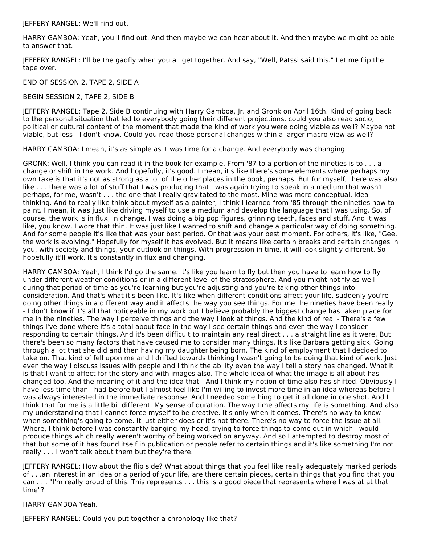JEFFERY RANGEL: We'll find out.

HARRY GAMBOA: Yeah, you'll find out. And then maybe we can hear about it. And then maybe we might be able to answer that.

JEFFERY RANGEL: I'll be the gadfly when you all get together. And say, "Well, Patssi said this." Let me flip the tape over.

END OF SESSION 2, TAPE 2, SIDE A

BEGIN SESSION 2, TAPE 2, SIDE B

JEFFERY RANGEL: Tape 2, Side B continuing with Harry Gamboa, Jr. and Gronk on April 16th. Kind of going back to the personal situation that led to everybody going their different projections, could you also read socio, political or cultural content of the moment that made the kind of work you were doing viable as well? Maybe not viable, but less - I don't know. Could you read those personal changes within a larger macro view as well?

HARRY GAMBOA: I mean, it's as simple as it was time for a change. And everybody was changing.

GRONK: Well, I think you can read it in the book for example. From '87 to a portion of the nineties is to . . . a change or shift in the work. And hopefully, it's good. I mean, it's like there's some elements where perhaps my own take is that it's not as strong as a lot of the other places in the book, perhaps. But for myself, there was also like . . . there was a lot of stuff that I was producing that I was again trying to speak in a medium that wasn't perhaps, for me, wasn't . . . the one that I really gravitated to the most. Mine was more conceptual, idea thinking. And to really like think about myself as a painter, I think I learned from '85 through the nineties how to paint. I mean, it was just like driving myself to use a medium and develop the language that I was using. So, of course, the work is in flux, in change. I was doing a big pop figures, grinning teeth, faces and stuff. And it was like, you know, I wore that thin. It was just like I wanted to shift and change a particular way of doing something. And for some people it's like that was your best period. Or that was your best moment. For others, it's like, "Gee, the work is evolving." Hopefully for myself it has evolved. But it means like certain breaks and certain changes in you, with society and things, your outlook on things. With progression in time, it will look slightly different. So hopefully it'll work. It's constantly in flux and changing.

HARRY GAMBOA: Yeah, I think I'd go the same. It's like you learn to fly but then you have to learn how to fly under different weather conditions or in a different level of the stratosphere. And you might not fly as well during that period of time as you're learning but you're adjusting and you're taking other things into consideration. And that's what it's been like. It's like when different conditions affect your life, suddenly you're doing other things in a different way and it affects the way you see things. For me the nineties have been really - I don't know if it's all that noticeable in my work but I believe probably the biggest change has taken place for me in the nineties. The way I perceive things and the way I look at things. And the kind of real - There's a few things I've done where it's a total about face in the way I see certain things and even the way I consider responding to certain things. And it's been difficult to maintain any real direct . . . a straight line as it were. But there's been so many factors that have caused me to consider many things. It's like Barbara getting sick. Going through a lot that she did and then having my daughter being born. The kind of employment that I decided to take on. That kind of fell upon me and I drifted towards thinking I wasn't going to be doing that kind of work. Just even the way I discuss issues with people and I think the ability even the way I tell a story has changed. What it is that I want to affect for the story and with images also. The whole idea of what the image is all about has changed too. And the meaning of it and the idea that - And I think my notion of time also has shifted. Obviously I have less time than I had before but I almost feel like I'm willing to invest more time in an idea whereas before I was always interested in the immediate response. And I needed something to get it all done in one shot. And I think that for me is a little bit different. My sense of duration. The way time affects my life is something. And also my understanding that I cannot force myself to be creative. It's only when it comes. There's no way to know when something's going to come. It just either does or it's not there. There's no way to force the issue at all. Where, I think before I was constantly banging my head, trying to force things to come out in which I would produce things which really weren't worthy of being worked on anyway. And so I attempted to destroy most of that but some of it has found itself in publication or people refer to certain things and it's like something I'm not really . . . I won't talk about them but they're there.

JEFFERY RANGEL: How about the flip side? What about things that you feel like really adequately marked periods of . . .an interest in an idea or a period of your life, are there certain pieces, certain things that you find that you can . . . "I'm really proud of this. This represents . . . this is a good piece that represents where I was at at that time"?

HARRY GAMBOA Yeah.

JEFFERY RANGEL: Could you put together a chronology like that?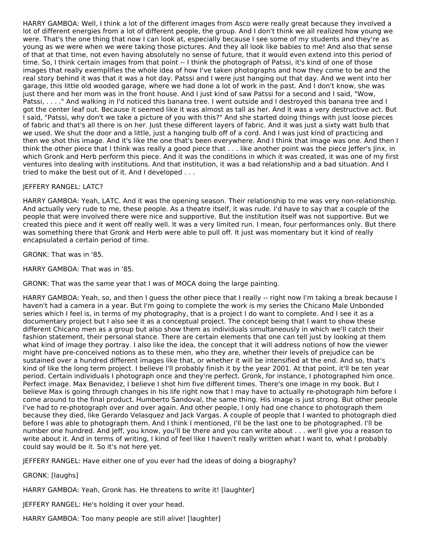HARRY GAMBOA: Well, I think a lot of the different images from Asco were really great because they involved a lot of different energies from a lot of different people, the group. And I don't think we all realized how young we were. That's the one thing that now I can look at, especially because I see some of my students and they're as young as we were when we were taking those pictures. And they all look like babies to me! And also that sense of that at that time, not even having absolutely no sense of future, that it would even extend into this period of time. So, I think certain images from that point -- I think the photograph of Patssi, it's kind of one of those images that really exemplifies the whole idea of how I've taken photographs and how they come to be and the real story behind it was that it was a hot day. Patssi and I were just hanging out that day. And we went into her garage, this little old wooded garage, where we had done a lot of work in the past. And I don't know, she was just there and her mom was in the front house. And I just kind of saw Patssi for a second and I said, "Wow, Patssi, . . . ." And walking in I'd noticed this banana tree. I went outside and I destroyed this banana tree and I got the center leaf out. Because it seemed like it was almost as tall as her. And it was a very destructive act. But I said, "Patssi, why don't we take a picture of you with this?" And she started doing things with just loose pieces of fabric and that's all there is on her. Just these different layers of fabric. And it was just a sixty watt bulb that we used. We shut the door and a little, just a hanging bulb off of a cord. And I was just kind of practicing and then we shot this image. And it's like the one that's been everywhere. And I think that image was one. And then I think the other piece that I think was really a good piece that . . . like another point was the piece Jeffer's Jinx, in which Gronk and Herb perform this piece. And it was the conditions in which it was created, it was one of my first ventures into dealing with institutions. And that institution, it was a bad relationship and a bad situation. And I tried to make the best out of it. And I developed . . .

# JEFFERY RANGEL: LATC?

HARRY GAMBOA: Yeah, LATC. And it was the opening season. Their relationship to me was very non-relationship. And actually very rude to me, these people. As a theatre itself, it was rude. I'd have to say that a couple of the people that were involved there were nice and supportive. But the institution itself was not supportive. But we created this piece and it went off really well. It was a very limited run. I mean, four performances only. But there was something there that Gronk and Herb were able to pull off. It just was momentary but it kind of really encapsulated a certain period of time.

GRONK: That was in '85.

HARRY GAMBOA: That was in '85.

GRONK: That was the same year that I was of MOCA doing the large painting.

HARRY GAMBOA: Yeah, so, and then I guess the other piece that I really -- right now I'm taking a break because I haven't had a camera in a year. But I'm going to complete the work is my series the Chicano Male Unbonded series which I feel is, in terms of my photography, that is a project I do want to complete. And I see it as a documentary project but I also see it as a conceptual project. The concept being that I want to show these different Chicano men as a group but also show them as individuals simultaneously in which we'll catch their fashion statement, their personal stance. There are certain elements that one can tell just by looking at them what kind of image they portray. I also like the idea, the concept that it will address notions of how the viewer might have pre-conceived notions as to these men, who they are, whether their levels of prejudice can be sustained over a hundred different images like that, or whether it will be intensified at the end. And so, that's kind of like the long term project. I believe I'll probably finish it by the year 2001. At that point, it'll be ten year period. Certain individuals I photograph once and they're perfect. Gronk, for instance, I photographed him once. Perfect image. Max Benavidez, I believe I shot him five different times. There's one image in my book. But I believe Max is going through changes in his life right now that I may have to actually re-photograph him before I come around to the final product. Humberto Sandoval, the same thing. His image is just strong. But other people I've had to re-photograph over and over again. And other people, I only had one chance to photograph them because they died, like Gerardo Velasquez and Jack Vargas. A couple of people that I wanted to photograph died before I was able to photograph them. And I think I mentioned, I'll be the last one to be photographed. I'll be number one hundred. And Jeff, you know, you'll be there and you can write about . . . we'll give you a reason to write about it. And in terms of writing, I kind of feel like I haven't really written what I want to, what I probably could say would be it. So it's not here yet.

JEFFERY RANGEL: Have either one of you ever had the ideas of doing a biography?

GRONK: [laughs]

HARRY GAMBOA: Yeah, Gronk has. He threatens to write it! [laughter]

JEFFERY RANGEL: He's holding it over your head.

HARRY GAMBOA: Too many people are still alive! [laughter]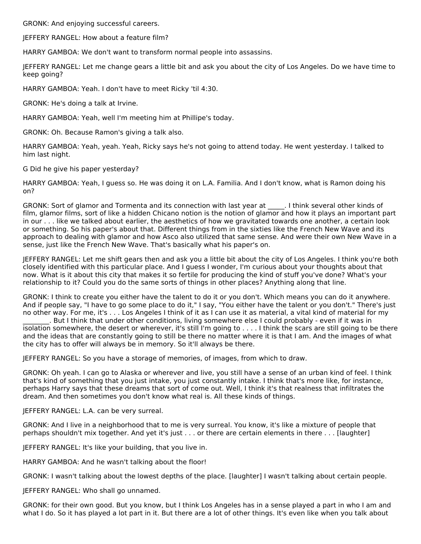GRONK: And enjoying successful careers.

JEFFERY RANGEL: How about a feature film?

HARRY GAMBOA: We don't want to transform normal people into assassins.

JEFFERY RANGEL: Let me change gears a little bit and ask you about the city of Los Angeles. Do we have time to keep going?

HARRY GAMBOA: Yeah. I don't have to meet Ricky 'til 4:30.

GRONK: He's doing a talk at Irvine.

HARRY GAMBOA: Yeah, well I'm meeting him at Phillipe's today.

GRONK: Oh. Because Ramon's giving a talk also.

HARRY GAMBOA: Yeah, yeah. Yeah, Ricky says he's not going to attend today. He went yesterday. I talked to him last night.

G Did he give his paper yesterday?

HARRY GAMBOA: Yeah, I guess so. He was doing it on L.A. Familia. And I don't know, what is Ramon doing his on?

GRONK: Sort of glamor and Tormenta and its connection with last year at \_\_\_\_\_. I think several other kinds of film, glamor films, sort of like a hidden Chicano notion is the notion of glamor and how it plays an important part in our . . . like we talked about earlier, the aesthetics of how we gravitated towards one another, a certain look or something. So his paper's about that. Different things from in the sixties like the French New Wave and its approach to dealing with glamor and how Asco also utilized that same sense. And were their own New Wave in a sense, just like the French New Wave. That's basically what his paper's on.

JEFFERY RANGEL: Let me shift gears then and ask you a little bit about the city of Los Angeles. I think you're both closely identified with this particular place. And I guess I wonder, I'm curious about your thoughts about that now. What is it about this city that makes it so fertile for producing the kind of stuff you've done? What's your relationship to it? Could you do the same sorts of things in other places? Anything along that line.

GRONK: I think to create you either have the talent to do it or you don't. Which means you can do it anywhere. And if people say, "I have to go some place to do it," I say, "You either have the talent or you don't." There's just no other way. For me, it's . . . Los Angeles I think of it as I can use it as material, a vital kind of material for my

\_\_\_\_\_\_\_\_. But I think that under other conditions, living somewhere else I could probably - even if it was in isolation somewhere, the desert or wherever, it's still I'm going to . . . . I think the scars are still going to be there and the ideas that are constantly going to still be there no matter where it is that I am. And the images of what the city has to offer will always be in memory. So it'll always be there.

JEFFERY RANGEL: So you have a storage of memories, of images, from which to draw.

GRONK: Oh yeah. I can go to Alaska or wherever and live, you still have a sense of an urban kind of feel. I think that's kind of something that you just intake, you just constantly intake. I think that's more like, for instance, perhaps Harry says that these dreams that sort of come out. Well, I think it's that realness that infiltrates the dream. And then sometimes you don't know what real is. All these kinds of things.

JEFFERY RANGEL: L.A. can be very surreal.

GRONK: And I live in a neighborhood that to me is very surreal. You know, it's like a mixture of people that perhaps shouldn't mix together. And yet it's just . . . or there are certain elements in there . . . [laughter]

JEFFERY RANGEL: It's like your building, that you live in.

HARRY GAMBOA: And he wasn't talking about the floor!

GRONK: I wasn't talking about the lowest depths of the place. [laughter] I wasn't talking about certain people.

JEFFERY RANGEL: Who shall go unnamed.

GRONK: for their own good. But you know, but I think Los Angeles has in a sense played a part in who I am and what I do. So it has played a lot part in it. But there are a lot of other things. It's even like when you talk about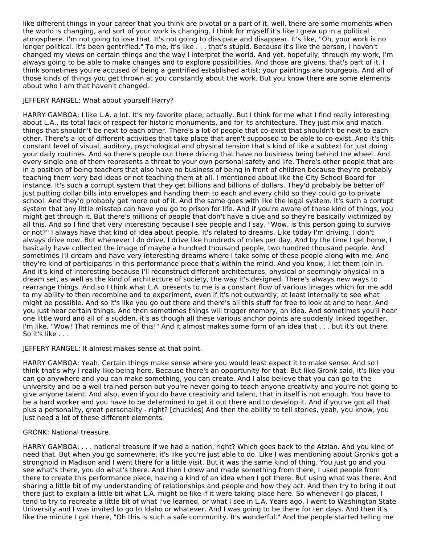like different things in your career that you think are pivotal or a part of it, well, there are some moments when the world is changing, and sort of your work is changing. I think for myself it's like I grew up in a political atmosphere. I'm not going to lose that. It's not going to dissipate and disappear. It's like, "Oh, your work is no longer political. It's been gentrified." To me, it's like . . . that's stupid. Because it's like the person, I haven't changed my views on certain things and the way I interpret the world. And yet, hopefully, through my work, I'm always going to be able to make changes and to explore possibilities. And those are givens, that's part of it. I think sometimes you're accused of being a gentrified established artist; your paintings are bourgeois. And all of those kinds of things you get thrown at you constantly about the work. But you know there are some elements about who I am that haven't changed.

# JEFFERY RANGEL: What about yourself Harry?

HARRY GAMBOA: I like L.A. a lot. It's my favorite place, actually. But I think for me what I find really interesting about L.A., its total lack of respect for historic monuments, and for its architecture. They just mix and match things that shouldn't be next to each other. There's a lot of people that co-exist that shouldn't be next to each other. There's a lot of different activities that take place that aren't supposed to be able to co-exist. And it's this constant level of visual, auditory, psychological and physical tension that's kind of like a subtext for just doing your daily routines. And so there's people out there driving that have no business being behind the wheel. And every single one of them represents a threat to your own personal safety and life. There's other people that are in a position of being teachers that also have no business of being in front of children because they're probably teaching them very bad ideas or not teaching them at all. I mentioned about like the City School Board for instance. It's such a corrupt system that they get billions and billions of dollars. They'd probably be better off just putting dollar bills into envelopes and handing them to each and every child so they could go to private school. And they'd probably get more out of it. And the same goes with like the legal system. It's such a corrupt system that any little misstep can have you go to prison for life. And if you're aware of these kind of things, you might get through it. But there's millions of people that don't have a clue and so they're basically victimized by all this. And so I find that very interesting because I see people and I say, "Wow, is this person going to survive or not?" I always have that kind of idea about people. It's related to dreams. Like today I'm driving. I don't always drive now. But whenever I do drive, I drive like hundreds of miles per day. And by the time I get home, I basically have collected the image of maybe a hundred thousand people, two hundred thousand people. And sometimes I'll dream and have very interesting dreams where I take some of these people along with me. And they're kind of participants in this performance piece that's within the mind. And you know, I let them join in. And it's kind of interesting because I'll reconstruct different architectures, physical or seemingly physical in a dream set, as well as the kind of architecture of society, the way it's designed. There's always new ways to rearrange things. And so I think what L.A. presents to me is a constant flow of various images which for me add to my ability to then recombine and to experiment, even if it's not outwardly, at least internally to see what might be possible. And so it's like you go out there and there's all this stuff for free to look at and to hear. And you just hear certain things. And then sometimes things will trigger memory, an idea. And sometimes you'll hear one little word and all of a sudden, it's as though all these various anchor points are suddenly linked together. I'm like, "Wow! That reminds me of this!" And it almost makes some form of an idea that . . . but it's out there. So it's like . . .

#### JEFFERY RANGEL: It almost makes sense at that point.

HARRY GAMBOA: Yeah. Certain things make sense where you would least expect it to make sense. And so I think that's why I really like being here. Because there's an opportunity for that. But like Gronk said, it's like you can go anywhere and you can make something, you can create. And I also believe that you can go to the university and be a well trained person but you're never going to teach anyone creativity and you're not going to give anyone talent. And also, even if you do have creativity and talent, that in itself is not enough. You have to be a hard worker and you have to be determined to get it out there and to develop it. And if you've got all that plus a personality, great personality - right? [chuckles] And then the ability to tell stories, yeah, you know, you just need a lot of these different elements.

# GRONK: National treasure.

HARRY GAMBOA: . . . national treasure if we had a nation, right? Which goes back to the Atzlan. And you kind of need that. But when you go somewhere, it's like you're just able to do. Like I was mentioning about Gronk's got a stronghold in Madison and I went there for a little visit. But it was the same kind of thing. You just go and you see what's there, you do what's there. And then I drew and made something from there, I used people from there to create this performance piece, having a kind of an idea when I got there. But using what was there. And sharing a little bit of my understanding of relationships and people and how they act. And then try to bring it out there just to explain a little bit what L.A. might be like if it were taking place here. So whenever I go places, I tend to try to recreate a little bit of what I've learned, or what I see in L.A. Years ago, I went to Washington State University and I was invited to go to Idaho or whatever. And I was going to be there for ten days. And then it's like the minute I got there, "Oh this is such a safe community. It's wonderful." And the people started telling me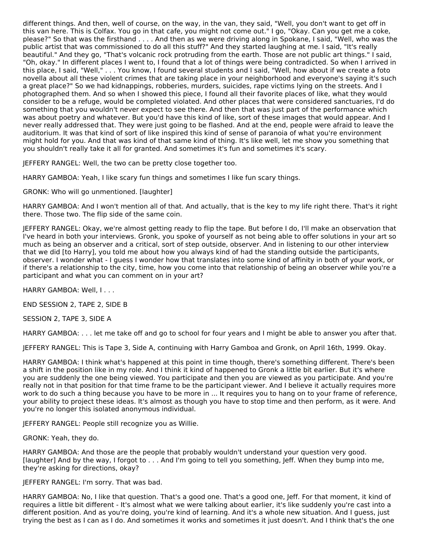different things. And then, well of course, on the way, in the van, they said, "Well, you don't want to get off in this van here. This is Colfax. You go in that cafe, you might not come out." I go, "Okay. Can you get me a coke, please?" So that was the firsthand . . . . And then as we were driving along in Spokane, I said, "Well, who was the public artist that was commissioned to do all this stuff?" And they started laughing at me. I said, "It's really beautiful." And they go, "That's volcanic rock protruding from the earth. Those are not public art things." I said, "Oh, okay." In different places I went to, I found that a lot of things were being contradicted. So when I arrived in this place, I said, "Well," . . . You know, I found several students and I said, "Well, how about if we create a foto novella about all these violent crimes that are taking place in your neighborhood and everyone's saying it's such a great place?" So we had kidnappings, robberies, murders, suicides, rape victims lying on the streets. And I photographed them. And so when I showed this piece, I found all their favorite places of like, what they would consider to be a refuge, would be completed violated. And other places that were considered sanctuaries, I'd do something that you wouldn't never expect to see there. And then that was just part of the performance which was about poetry and whatever. But you'd have this kind of like, sort of these images that would appear. And I never really addressed that. They were just going to be flashed. And at the end, people were afraid to leave the auditorium. It was that kind of sort of like inspired this kind of sense of paranoia of what you're environment might hold for you. And that was kind of that same kind of thing. It's like well, let me show you something that you shouldn't really take it all for granted. And sometimes it's fun and sometimes it's scary.

JEFFERY RANGEL: Well, the two can be pretty close together too.

HARRY GAMBOA: Yeah, I like scary fun things and sometimes I like fun scary things.

GRONK: Who will go unmentioned. [laughter]

HARRY GAMBOA: And I won't mention all of that. And actually, that is the key to my life right there. That's it right there. Those two. The flip side of the same coin.

JEFFERY RANGEL: Okay, we're almost getting ready to flip the tape. But before I do, I'll make an observation that I've heard in both your interviews. Gronk, you spoke of yourself as not being able to offer solutions in your art so much as being an observer and a critical, sort of step outside, observer. And in listening to our other interview that we did [to Harry], you told me about how you always kind of had the standing outside the participants, observer. I wonder what - I guess I wonder how that translates into some kind of affinity in both of your work, or if there's a relationship to the city, time, how you come into that relationship of being an observer while you're a participant and what you can comment on in your art?

HARRY GAMBOA: Well, I...

END SESSION 2, TAPE 2, SIDE B

SESSION 2, TAPE 3, SIDE A

HARRY GAMBOA: . . . let me take off and go to school for four years and I might be able to answer you after that.

JEFFERY RANGEL: This is Tape 3, Side A, continuing with Harry Gamboa and Gronk, on April 16th, 1999. Okay.

HARRY GAMBOA: I think what's happened at this point in time though, there's something different. There's been a shift in the position like in my role. And I think it kind of happened to Gronk a little bit earlier. But it's where you are suddenly the one being viewed. You participate and then you are viewed as you participate. And you're really not in that position for that time frame to be the participant viewer. And I believe it actually requires more work to do such a thing because you have to be more in ... It requires you to hang on to your frame of reference, your ability to project these ideas. It's almost as though you have to stop time and then perform, as it were. And you're no longer this isolated anonymous individual.

JEFFERY RANGEL: People still recognize you as Willie.

GRONK: Yeah, they do.

HARRY GAMBOA: And those are the people that probably wouldn't understand your question very good. [laughter] And by the way, I forgot to . . . And I'm going to tell you something, Jeff. When they bump into me, they're asking for directions, okay?

JEFFERY RANGEL: I'm sorry. That was bad.

HARRY GAMBOA: No, I like that question. That's a good one. That's a good one, Jeff. For that moment, it kind of requires a little bit different - It's almost what we were talking about earlier, it's like suddenly you're cast into a different position. And as you're doing, you're kind of learning. And it's a whole new situation. And I guess, just trying the best as I can as I do. And sometimes it works and sometimes it just doesn't. And I think that's the one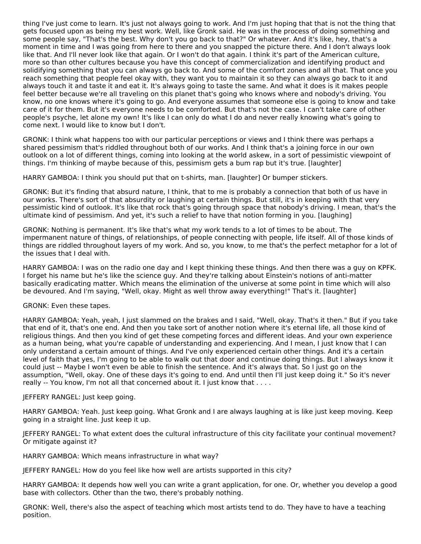thing I've just come to learn. It's just not always going to work. And I'm just hoping that that is not the thing that gets focused upon as being my best work. Well, like Gronk said. He was in the process of doing something and some people say, "That's the best. Why don't you go back to that?" Or whatever. And it's like, hey, that's a moment in time and I was going from here to there and you snapped the picture there. And I don't always look like that. And I'll never look like that again. Or I won't do that again. I think it's part of the American culture, more so than other cultures because you have this concept of commercialization and identifying product and solidifying something that you can always go back to. And some of the comfort zones and all that. That once you reach something that people feel okay with, they want you to maintain it so they can always go back to it and always touch it and taste it and eat it. It's always going to taste the same. And what it does is it makes people feel better because we're all traveling on this planet that's going who knows where and nobody's driving. You know, no one knows where it's going to go. And everyone assumes that someone else is going to know and take care of it for them. But it's everyone needs to be comforted. But that's not the case. I can't take care of other people's psyche, let alone my own! It's like I can only do what I do and never really knowing what's going to come next. I would like to know but I don't.

GRONK: I think what happens too with our particular perceptions or views and I think there was perhaps a shared pessimism that's riddled throughout both of our works. And I think that's a joining force in our own outlook on a lot of different things, coming into looking at the world askew, in a sort of pessimistic viewpoint of things. I'm thinking of maybe because of this, pessimism gets a bum rap but it's true. [laughter]

HARRY GAMBOA: I think you should put that on t-shirts, man. [laughter] Or bumper stickers.

GRONK: But it's finding that absurd nature, I think, that to me is probably a connection that both of us have in our works. There's sort of that absurdity or laughing at certain things. But still, it's in keeping with that very pessimistic kind of outlook. It's like that rock that's going through space that nobody's driving. I mean, that's the ultimate kind of pessimism. And yet, it's such a relief to have that notion forming in you. [laughing]

GRONK: Nothing is permanent. It's like that's what my work tends to a lot of times to be about. The impermanent nature of things, of relationships, of people connecting with people, life itself. All of those kinds of things are riddled throughout layers of my work. And so, you know, to me that's the perfect metaphor for a lot of the issues that I deal with.

HARRY GAMBOA: I was on the radio one day and I kept thinking these things. And then there was a guy on KPFK. I forget his name but he's like the science guy. And they're talking about Einstein's notions of anti-matter basically eradicating matter. Which means the elimination of the universe at some point in time which will also be devoured. And I'm saying, "Well, okay. Might as well throw away everything!" That's it. [laughter]

GRONK: Even these tapes.

HARRY GAMBOA: Yeah, yeah, I just slammed on the brakes and I said, "Well, okay. That's it then." But if you take that end of it, that's one end. And then you take sort of another notion where it's eternal life, all those kind of religious things. And then you kind of get these competing forces and different ideas. And your own experience as a human being, what you're capable of understanding and experiencing. And I mean, I just know that I can only understand a certain amount of things. And I've only experienced certain other things. And it's a certain level of faith that yes, I'm going to be able to walk out that door and continue doing things. But I always know it could just -- Maybe I won't even be able to finish the sentence. And it's always that. So I just go on the assumption, "Well, okay. One of these days it's going to end. And until then I'll just keep doing it." So it's never really -- You know, I'm not all that concerned about it. I just know that . . . .

JEFFERY RANGEL: Just keep going.

HARRY GAMBOA: Yeah. Just keep going. What Gronk and I are always laughing at is like just keep moving. Keep going in a straight line. Just keep it up.

JEFFERY RANGEL: To what extent does the cultural infrastructure of this city facilitate your continual movement? Or mitigate against it?

HARRY GAMBOA: Which means infrastructure in what way?

JEFFERY RANGEL: How do you feel like how well are artists supported in this city?

HARRY GAMBOA: It depends how well you can write a grant application, for one. Or, whether you develop a good base with collectors. Other than the two, there's probably nothing.

GRONK: Well, there's also the aspect of teaching which most artists tend to do. They have to have a teaching position.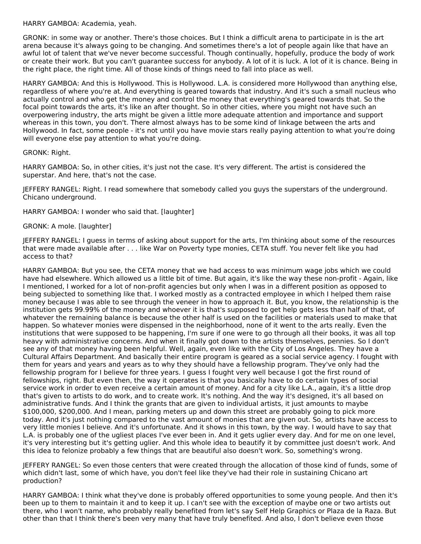HARRY GAMBOA: Academia, yeah.

GRONK: in some way or another. There's those choices. But I think a difficult arena to participate in is the art arena because it's always going to be changing. And sometimes there's a lot of people again like that have an awful lot of talent that we've never become successful. Though continually, hopefully, produce the body of work or create their work. But you can't guarantee success for anybody. A lot of it is luck. A lot of it is chance. Being in the right place, the right time. All of those kinds of things need to fall into place as well.

HARRY GAMBOA: And this is Hollywood. This is Hollywood. L.A. is considered more Hollywood than anything else, regardless of where you're at. And everything is geared towards that industry. And it's such a small nucleus who actually control and who get the money and control the money that everything's geared towards that. So the focal point towards the arts, it's like an after thought. So in other cities, where you might not have such an overpowering industry, the arts might be given a little more adequate attention and importance and support whereas in this town, you don't. There almost always has to be some kind of linkage between the arts and Hollywood. In fact, some people - it's not until you have movie stars really paying attention to what you're doing will everyone else pay attention to what you're doing.

#### GRONK: Right.

HARRY GAMBOA: So, in other cities, it's just not the case. It's very different. The artist is considered the superstar. And here, that's not the case.

JEFFERY RANGEL: Right. I read somewhere that somebody called you guys the superstars of the underground. Chicano underground.

HARRY GAMBOA: I wonder who said that. [laughter]

# GRONK: A mole. [laughter]

JEFFERY RANGEL: I guess in terms of asking about support for the arts, I'm thinking about some of the resources that were made available after . . . like War on Poverty type monies, CETA stuff. You never felt like you had access to that?

HARRY GAMBOA: But you see, the CETA money that we had access to was minimum wage jobs which we could have had elsewhere. Which allowed us a little bit of time. But again, it's like the way these non-profit - Again, like I mentioned, I worked for a lot of non-profit agencies but only when I was in a different position as opposed to being subjected to something like that. I worked mostly as a contracted employee in which I helped them raise money because I was able to see through the veneer in how to approach it. But, you know, the relationship is the institution gets 99.99% of the money and whoever it is that's supposed to get help gets less than half of that, of whatever the remaining balance is because the other half is used on the facilities or materials used to make that happen. So whatever monies were dispensed in the neighborhood, none of it went to the arts really. Even the institutions that were supposed to be happening, I'm sure if one were to go through all their books, it was all top heavy with administrative concerns. And when it finally got down to the artists themselves, pennies. So I don't see any of that money having been helpful. Well, again, even like with the City of Los Angeles. They have a Cultural Affairs Department. And basically their entire program is geared as a social service agency. I fought with them for years and years and years as to why they should have a fellowship program. They've only had the fellowship program for I believe for three years. I guess I fought very well because I got the first round of fellowships, right. But even then, the way it operates is that you basically have to do certain types of social service work in order to even receive a certain amount of money. And for a city like L.A., again, it's a little drop that's given to artists to do work, and to create work. It's nothing. And the way it's designed, it's all based on administrative funds. And I think the grants that are given to individual artists, it just amounts to maybe \$100,000, \$200,000. And I mean, parking meters up and down this street are probably going to pick more today. And it's just nothing compared to the vast amount of monies that are given out. So, artists have access to very little monies I believe. And it's unfortunate. And it shows in this town, by the way. I would have to say that L.A. is probably one of the ugliest places I've ever been in. And it gets uglier every day. And for me on one level, it's very interesting but it's getting uglier. And this whole idea to beautify it by committee just doesn't work. And this idea to felonize probably a few things that are beautiful also doesn't work. So, something's wrong.

JEFFERY RANGEL: So even those centers that were created through the allocation of those kind of funds, some of which didn't last, some of which have, you don't feel like they've had their role in sustaining Chicano art production?

HARRY GAMBOA: I think what they've done is probably offered opportunities to some young people. And then it's been up to them to maintain it and to keep it up. I can't see with the exception of maybe one or two artists out there, who I won't name, who probably really benefited from let's say Self Help Graphics or Plaza de la Raza. But other than that I think there's been very many that have truly benefited. And also, I don't believe even those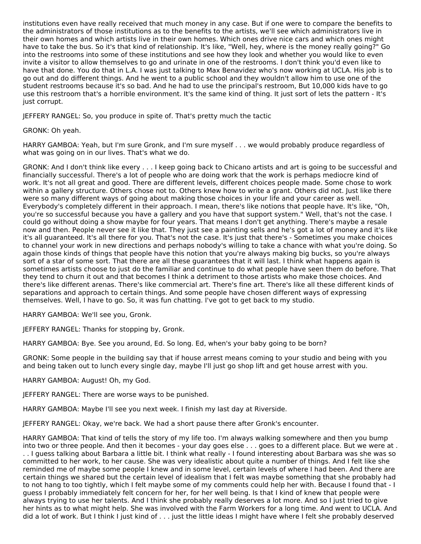institutions even have really received that much money in any case. But if one were to compare the benefits to the administrators of those institutions as to the benefits to the artists, we'll see which administrators live in their own homes and which artists live in their own homes. Which ones drive nice cars and which ones might have to take the bus. So it's that kind of relationship. It's like, "Well, hey, where is the money really going?" Go into the restrooms into some of these institutions and see how they look and whether you would like to even invite a visitor to allow themselves to go and urinate in one of the restrooms. I don't think you'd even like to have that done. You do that in L.A. I was just talking to Max Benavidez who's now working at UCLA. His job is to go out and do different things. And he went to a public school and they wouldn't allow him to use one of the student restrooms because it's so bad. And he had to use the principal's restroom, But 10,000 kids have to go use this restroom that's a horrible environment. It's the same kind of thing. It just sort of lets the pattern - It's just corrupt.

JEFFERY RANGEL: So, you produce in spite of. That's pretty much the tactic

GRONK: Oh yeah.

HARRY GAMBOA: Yeah, but I'm sure Gronk, and I'm sure myself . . . we would probably produce regardless of what was going on in our lives. That's what we do.

GRONK: And I don't think like every . . . I keep going back to Chicano artists and art is going to be successful and financially successful. There's a lot of people who are doing work that the work is perhaps mediocre kind of work. It's not all great and good. There are different levels, different choices people made. Some chose to work within a gallery structure. Others chose not to. Others knew how to write a grant. Others did not. Just like there were so many different ways of going about making those choices in your life and your career as well. Everybody's completely different in their approach. I mean, there's like notions that people have. It's like, "Oh, you're so successful because you have a gallery and you have that support system." Well, that's not the case. I could go without doing a show maybe for four years. That means I don't get anything. There's maybe a resale now and then. People never see it like that. They just see a painting sells and he's got a lot of money and it's like it's all guaranteed. It's all there for you. That's not the case. It's just that there's - Sometimes you make choices to channel your work in new directions and perhaps nobody's willing to take a chance with what you're doing. So again those kinds of things that people have this notion that you're always making big bucks, so you're always sort of a star of some sort. That there are all these guarantees that it will last. I think what happens again is sometimes artists choose to just do the familiar and continue to do what people have seen them do before. That they tend to churn it out and that becomes I think a detriment to those artists who make those choices. And there's like different arenas. There's like commercial art. There's fine art. There's like all these different kinds of separations and approach to certain things. And some people have chosen different ways of expressing themselves. Well, I have to go. So, it was fun chatting. I've got to get back to my studio.

HARRY GAMBOA: We'll see you, Gronk.

JEFFERY RANGEL: Thanks for stopping by, Gronk.

HARRY GAMBOA: Bye. See you around, Ed. So long. Ed, when's your baby going to be born?

GRONK: Some people in the building say that if house arrest means coming to your studio and being with you and being taken out to lunch every single day, maybe I'll just go shop lift and get house arrest with you.

HARRY GAMBOA: August! Oh, my God.

JEFFERY RANGEL: There are worse ways to be punished.

HARRY GAMBOA: Maybe I'll see you next week. I finish my last day at Riverside.

JEFFERY RANGEL: Okay, we're back. We had a short pause there after Gronk's encounter.

HARRY GAMBOA: That kind of tells the story of my life too. I'm always walking somewhere and then you bump into two or three people. And then it becomes - your day goes else . . . goes to a different place. But we were at . . . I guess talking about Barbara a little bit. I think what really - I found interesting about Barbara was she was so committed to her work, to her cause. She was very idealistic about quite a number of things. And I felt like she reminded me of maybe some people I knew and in some level, certain levels of where I had been. And there are certain things we shared but the certain level of idealism that I felt was maybe something that she probably had to not hang to too tightly, which I felt maybe some of my comments could help her with. Because I found that - I guess I probably immediately felt concern for her, for her well being. Is that I kind of knew that people were always trying to use her talents. And I think she probably really deserves a lot more. And so I just tried to give her hints as to what might help. She was involved with the Farm Workers for a long time. And went to UCLA. And did a lot of work. But I think I just kind of . . . just the little ideas I might have where I felt she probably deserved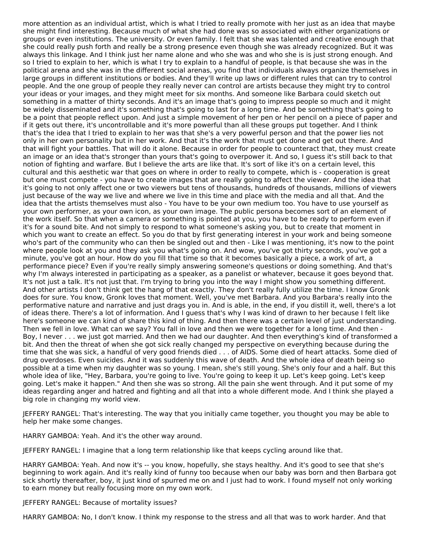more attention as an individual artist, which is what I tried to really promote with her just as an idea that maybe she might find interesting. Because much of what she had done was so associated with either organizations or groups or even institutions. The university. Or even family. I felt that she was talented and creative enough that she could really push forth and really be a strong presence even though she was already recognized. But it was always this linkage. And I think just her name alone and who she was and who she is is just strong enough. And so I tried to explain to her, which is what I try to explain to a handful of people, is that because she was in the political arena and she was in the different social arenas, you find that individuals always organize themselves in large groups in different institutions or bodies. And they'll write up laws or different rules that can try to control people. And the one group of people they really never can control are artists because they might try to control your ideas or your images, and they might meet for six months. And someone like Barbara could sketch out something in a matter of thirty seconds. And it's an image that's going to impress people so much and it might be widely disseminated and it's something that's going to last for a long time. And be something that's going to be a point that people reflect upon. And just a simple movement of her pen or her pencil on a piece of paper and if it gets out there, it's uncontrollable and it's more powerful than all these groups put together. And I think that's the idea that I tried to explain to her was that she's a very powerful person and that the power lies not only in her own personality but in her work. And that it's the work that must get done and get out there. And that will fight your battles. That will do it alone. Because in order for people to counteract that, they must create an image or an idea that's stronger than yours that's going to overpower it. And so, I guess it's still back to that notion of fighting and warfare. But I believe the arts are like that. It's sort of like it's on a certain level, this cultural and this aesthetic war that goes on where in order to really to compete, which is - cooperation is great but one must compete - you have to create images that are really going to affect the viewer. And the idea that it's going to not only affect one or two viewers but tens of thousands, hundreds of thousands, millions of viewers just because of the way we live and where we live in this time and place with the media and all that. And the idea that the artists themselves must also - You have to be your own medium too. You have to use yourself as your own performer, as your own icon, as your own image. The public persona becomes sort of an element of the work itself. So that when a camera or something is pointed at you, you have to be ready to perform even if it's for a sound bite. And not simply to respond to what someone's asking you, but to create that moment in which you want to create an effect. So you do that by first generating interest in your work and being someone who's part of the community who can then be singled out and then - Like I was mentioning, it's now to the point where people look at you and they ask you what's going on. And wow, you've got thirty seconds, you've got a minute, you've got an hour. How do you fill that time so that it becomes basically a piece, a work of art, a performance piece? Even if you're really simply answering someone's questions or doing something. And that's why I'm always interested in participating as a speaker, as a panelist or whatever, because it goes beyond that. It's not just a talk. It's not just that. I'm trying to bring you into the way I might show you something different. And other artists I don't think get the hang of that exactly. They don't really fully utilize the time. I know Gronk does for sure. You know, Gronk loves that moment. Well, you've met Barbara. And you Barbara's really into the performative nature and narrative and just drags you in. And is able, in the end, if you distill it, well, there's a lot of ideas there. There's a lot of information. And I guess that's why I was kind of drawn to her because I felt like here's someone we can kind of share this kind of thing. And then there was a certain level of just understanding. Then we fell in love. What can we say? You fall in love and then we were together for a long time. And then - Boy, I never . . . we just got married. And then we had our daughter. And then everything's kind of transformed a bit. And then the threat of when she got sick really changed my perspective on everything because during the time that she was sick, a handful of very good friends died . . . of AIDS. Some died of heart attacks. Some died of drug overdoses. Even suicides. And it was suddenly this wave of death. And the whole idea of death being so possible at a time when my daughter was so young. I mean, she's still young. She's only four and a half. But this whole idea of like, "Hey, Barbara, you're going to live. You're going to keep it up. Let's keep going. Let's keep going. Let's make it happen." And then she was so strong. All the pain she went through. And it put some of my ideas regarding anger and hatred and fighting and all that into a whole different mode. And I think she played a big role in changing my world view.

JEFFERY RANGEL: That's interesting. The way that you initially came together, you thought you may be able to help her make some changes.

HARRY GAMBOA: Yeah. And it's the other way around.

JEFFERY RANGEL: I imagine that a long term relationship like that keeps cycling around like that.

HARRY GAMBOA: Yeah. And now it's -- you know, hopefully, she stays healthy. And it's good to see that she's beginning to work again. And it's really kind of funny too because when our baby was born and then Barbara got sick shortly thereafter, boy, it just kind of spurred me on and I just had to work. I found myself not only working to earn money but really focusing more on my own work.

JEFFERY RANGEL: Because of mortality issues?

HARRY GAMBOA: No, I don't know. I think my response to the stress and all that was to work harder. And that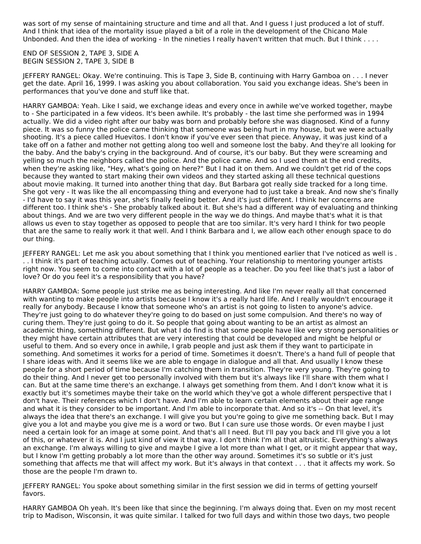was sort of my sense of maintaining structure and time and all that. And I guess I just produced a lot of stuff. And I think that idea of the mortality issue played a bit of a role in the development of the Chicano Male Unbonded. And then the idea of working - In the nineties I really haven't written that much. But I think . . . .

END OF SESSION 2, TAPE 3, SIDE A BEGIN SESSION 2, TAPE 3, SIDE B

JEFFERY RANGEL: Okay. We're continuing. This is Tape 3, Side B, continuing with Harry Gamboa on . . . I never get the date. April 16, 1999. I was asking you about collaboration. You said you exchange ideas. She's been in performances that you've done and stuff like that.

HARRY GAMBOA: Yeah. Like I said, we exchange ideas and every once in awhile we've worked together, maybe to - She participated in a few videos. It's been awhile. It's probably - the last time she performed was in 1994 actually. We did a video right after our baby was born and probably before she was diagnosed. Kind of a funny piece. It was so funny the police came thinking that someone was being hurt in my house, but we were actually shooting. It's a piece called Huevitos. I don't know if you've ever seen that piece. Anyway, it was just kind of a take off on a father and mother not getting along too well and someone lost the baby. And they're all looking for the baby. And the baby's crying in the background. And of course, it's our baby. But they were screaming and yelling so much the neighbors called the police. And the police came. And so I used them at the end credits, when they're asking like, "Hey, what's going on here?" But I had it on them. And we couldn't get rid of the cops because they wanted to start making their own videos and they started asking all these technical questions about movie making. It turned into another thing that day. But Barbara got really side tracked for a long time. She got very - It was like the all encompassing thing and everyone had to just take a break. And now she's finally - I'd have to say it was this year, she's finally feeling better. And it's just different. I think her concerns are different too. I think she's - She probably talked about it. But she's had a different way of evaluating and thinking about things. And we are two very different people in the way we do things. And maybe that's what it is that allows us even to stay together as opposed to people that are too similar. It's very hard I think for two people that are the same to really work it that well. And I think Barbara and I, we allow each other enough space to do our thing.

JEFFERY RANGEL: Let me ask you about something that I think you mentioned earlier that I've noticed as well is . . . I think it's part of teaching actually. Comes out of teaching. Your relationship to mentoring younger artists right now. You seem to come into contact with a lot of people as a teacher. Do you feel like that's just a labor of love? Or do you feel it's a responsibility that you have?

HARRY GAMBOA: Some people just strike me as being interesting. And like I'm never really all that concerned with wanting to make people into artists because I know it's a really hard life. And I really wouldn't encourage it really for anybody. Because I know that someone who's an artist is not going to listen to anyone's advice. They're just going to do whatever they're going to do based on just some compulsion. And there's no way of curing them. They're just going to do it. So people that going about wanting to be an artist as almost an academic thing, something different. But what I do find is that some people have like very strong personalities or they might have certain attributes that are very interesting that could be developed and might be helpful or useful to them. And so every once in awhile, I grab people and just ask them if they want to participate in something. And sometimes it works for a period of time. Sometimes it doesn't. There's a hand full of people that I share ideas with. And it seems like we are able to engage in dialogue and all that. And usually I know these people for a short period of time because I'm catching them in transition. They're very young. They're going to do their thing. And I never get too personally involved with them but it's always like I'll share with them what I can. But at the same time there's an exchange. I always get something from them. And I don't know what it is exactly but it's sometimes maybe their take on the world which they've got a whole different perspective that I don't have. Their references which I don't have. And I'm able to learn certain elements about their age range and what it is they consider to be important. And I'm able to incorporate that. And so it's -- On that level, it's always the idea that there's an exchange. I will give you but you're going to give me something back. But I may give you a lot and maybe you give me is a word or two. But I can sure use those words. Or even maybe I just need a certain look for an image at some point. And that's all I need. But I'll pay you back and I'll give you a lot of this, or whatever it is. And I just kind of view it that way. I don't think I'm all that altruistic. Everything's always an exchange. I'm always willing to give and maybe I give a lot more than what I get, or it might appear that way, but I know I'm getting probably a lot more than the other way around. Sometimes it's so subtle or it's just something that affects me that will affect my work. But it's always in that context . . . that it affects my work. So those are the people I'm drawn to.

JEFFERY RANGEL: You spoke about something similar in the first session we did in terms of getting yourself favors.

HARRY GAMBOA Oh yeah. It's been like that since the beginning. I'm always doing that. Even on my most recent trip to Madison, Wisconsin, it was quite similar. I talked for two full days and within those two days, two people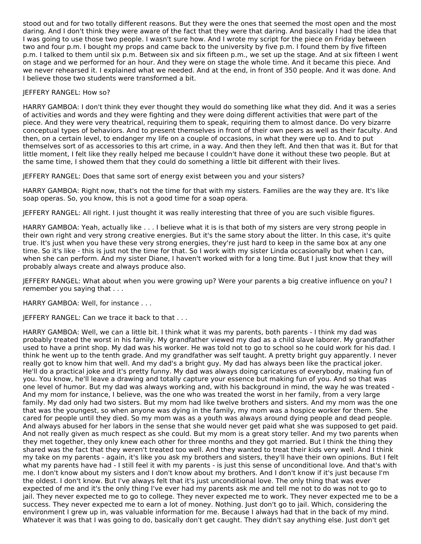stood out and for two totally different reasons. But they were the ones that seemed the most open and the most daring. And I don't think they were aware of the fact that they were that daring. And basically I had the idea that I was going to use those two people. I wasn't sure how. And I wrote my script for the piece on Friday between two and four p.m. I bought my props and came back to the university by five p.m. I found them by five fifteen p.m. I talked to them until six p.m. Between six and six fifteen p.m., we set up the stage. And at six fifteen I went on stage and we performed for an hour. And they were on stage the whole time. And it became this piece. And we never rehearsed it. I explained what we needed. And at the end, in front of 350 people. And it was done. And I believe those two students were transformed a bit.

# JEFFERY RANGEL: How so?

HARRY GAMBOA: I don't think they ever thought they would do something like what they did. And it was a series of activities and words and they were fighting and they were doing different activities that were part of the piece. And they were very theatrical, requiring them to speak, requiring them to almost dance. Do very bizarre conceptual types of behaviors. And to present themselves in front of their own peers as well as their faculty. And then, on a certain level, to endanger my life on a couple of occasions, in what they were up to. And to put themselves sort of as accessories to this art crime, in a way. And then they left. And then that was it. But for that little moment, I felt like they really helped me because I couldn't have done it without these two people. But at the same time, I showed them that they could do something a little bit different with their lives.

JEFFERY RANGEL: Does that same sort of energy exist between you and your sisters?

HARRY GAMBOA: Right now, that's not the time for that with my sisters. Families are the way they are. It's like soap operas. So, you know, this is not a good time for a soap opera.

JEFFERY RANGEL: All right. I just thought it was really interesting that three of you are such visible figures.

HARRY GAMBOA: Yeah, actually like . . . I believe what it is is that both of my sisters are very strong people in their own right and very strong creative energies. But it's the same story about the litter. In this case, it's quite true. It's just when you have these very strong energies, they're just hard to keep in the same box at any one time. So it's like - this is just not the time for that. So I work with my sister Linda occasionally but when I can, when she can perform. And my sister Diane, I haven't worked with for a long time. But I just know that they will probably always create and always produce also.

JEFFERY RANGEL: What about when you were growing up? Were your parents a big creative influence on you? I remember you saying that . . .

HARRY GAMBOA: Well, for instance . . .

JEFFERY RANGEL: Can we trace it back to that . . .

HARRY GAMBOA: Well, we can a little bit. I think what it was my parents, both parents - I think my dad was probably treated the worst in his family. My grandfather viewed my dad as a child slave laborer. My grandfather used to have a print shop. My dad was his worker. He was told not to go to school so he could work for his dad. I think he went up to the tenth grade. And my grandfather was self taught. A pretty bright guy apparently. I never really got to know him that well. And my dad's a bright guy. My dad has always been like the practical joker. He'll do a practical joke and it's pretty funny. My dad was always doing caricatures of everybody, making fun of you. You know, he'll leave a drawing and totally capture your essence but making fun of you. And so that was one level of humor. But my dad was always working and, with his background in mind, the way he was treated - And my mom for instance, I believe, was the one who was treated the worst in her family, from a very large family. My dad only had two sisters. But my mom had like twelve brothers and sisters. And my mom was the one that was the youngest, so when anyone was dying in the family, my mom was a hospice worker for them. She cared for people until they died. So my mom was as a youth was always around dying people and dead people. And always abused for her labors in the sense that she would never get paid what she was supposed to get paid. And not really given as much respect as she could. But my mom is a great story teller. And my two parents when they met together, they only knew each other for three months and they got married. But I think the thing they shared was the fact that they weren't treated too well. And they wanted to treat their kids very well. And I think my take on my parents - again, it's like you ask my brothers and sisters, they'll have their own opinions. But I felt what my parents have had - I still feel it with my parents - is just this sense of unconditional love. And that's with me. I don't know about my sisters and I don't know about my brothers. And I don't know if it's just because I'm the oldest. I don't know. But I've always felt that it's just unconditional love. The only thing that was ever expected of me and it's the only thing I've ever had my parents ask me and tell me not to do was not to go to jail. They never expected me to go to college. They never expected me to work. They never expected me to be a success. They never expected me to earn a lot of money. Nothing. Just don't go to jail. Which, considering the environment I grew up in, was valuable information for me. Because I always had that in the back of my mind. Whatever it was that I was going to do, basically don't get caught. They didn't say anything else. Just don't get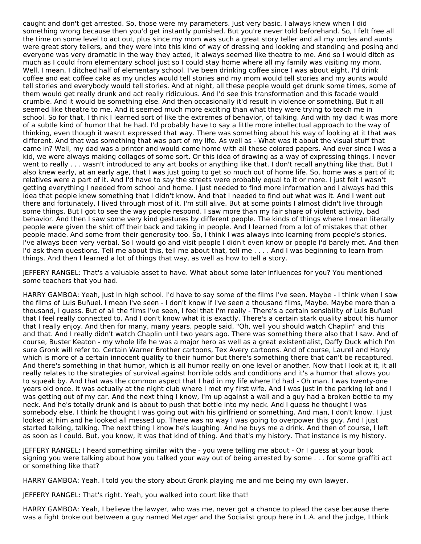caught and don't get arrested. So, those were my parameters. Just very basic. I always knew when I did something wrong because then you'd get instantly punished. But you're never told beforehand. So, I felt free all the time on some level to act out, plus since my mom was such a great story teller and all my uncles and aunts were great story tellers, and they were into this kind of way of dressing and looking and standing and posing and everyone was very dramatic in the way they acted, it always seemed like theatre to me. And so I would ditch as much as I could from elementary school just so I could stay home where all my family was visiting my mom. Well, I mean, I ditched half of elementary school. I've been drinking coffee since I was about eight. I'd drink coffee and eat coffee cake as my uncles would tell stories and my mom would tell stories and my aunts would tell stories and everybody would tell stories. And at night, all these people would get drunk some times, some of them would get really drunk and act really ridiculous. And I'd see this transformation and this facade would crumble. And it would be something else. And then occasionally it'd result in violence or something. But it all seemed like theatre to me. And it seemed much more exciting than what they were trying to teach me in school. So for that, I think I learned sort of like the extremes of behavior, of talking. And with my dad it was more of a subtle kind of humor that he had. I'd probably have to say a little more intellectual approach to the way of thinking, even though it wasn't expressed that way. There was something about his way of looking at it that was different. And that was something that was part of my life. As well as - What was it about the visual stuff that came in? Well, my dad was a printer and would come home with all these colored papers. And ever since I was a kid, we were always making collages of some sort. Or this idea of drawing as a way of expressing things. I never went to really . . . wasn't introduced to any art books or anything like that. I don't recall anything like that. But I also knew early, at an early age, that I was just going to get so much out of home life. So, home was a part of it; relatives were a part of it. And I'd have to say the streets were probably equal to it or more. I just felt I wasn't getting everything I needed from school and home. I just needed to find more information and I always had this idea that people knew something that I didn't know. And that I needed to find out what was it. And I went out there and fortunately, I lived through most of it. I'm still alive. But at some points I almost didn't live through some things. But I got to see the way people respond. I saw more than my fair share of violent activity, bad behavior. And then I saw some very kind gestures by different people. The kinds of things where I mean literally people were given the shirt off their back and taking in people. And I learned from a lot of mistakes that other people made. And some from their generosity too. So, I think I was always into learning from people's stories. I've always been very verbal. So I would go and visit people I didn't even know or people I'd barely met. And then I'd ask them questions. Tell me about this, tell me about that, tell me . . . . And I was beginning to learn from things. And then I learned a lot of things that way, as well as how to tell a story.

JEFFERY RANGEL: That's a valuable asset to have. What about some later influences for you? You mentioned some teachers that you had.

HARRY GAMBOA: Yeah, just in high school. I'd have to say some of the films I've seen. Maybe - I think when I saw the films of Luis Buñuel. I mean I've seen - I don't know if I've seen a thousand films, Maybe. Maybe more than a thousand, I guess. But of all the films I've seen, I feel that I'm really - There's a certain sensibility of Luis Buñuel that I feel really connected to. And I don't know what it is exactly. There's a certain stark quality about his humor that I really enjoy. And then for many, many years, people said, "Oh, well you should watch Chaplin" and this and that. And I really didn't watch Chaplin until two years ago. There was something there also that I saw. And of course, Buster Keaton - my whole life he was a major hero as well as a great existentialist, Daffy Duck which I'm sure Gronk will refer to. Certain Warner Brother cartoons, Tex Avery cartoons. And of course, Laurel and Hardy which is more of a certain innocent quality to their humor but there's something there that can't be recaptured. And there's something in that humor, which is all humor really on one level or another. Now that I look at it, it all really relates to the strategies of survival against horrible odds and conditions and it's a humor that allows you to squeak by. And that was the common aspect that I had in my life where I'd had - Oh man. I was twenty-one years old once. It was actually at the night club where I met my first wife. And I was just in the parking lot and I was getting out of my car. And the next thing I know, I'm up against a wall and a guy had a broken bottle to my neck. And he's totally drunk and is about to push that bottle into my neck. And I guess he thought I was somebody else. I think he thought I was going out with his girlfriend or something. And man, I don't know. I just looked at him and he looked all messed up. There was no way I was going to overpower this guy. And I just started talking, talking. The next thing I know he's laughing. And he buys me a drink. And then of course, I left as soon as I could. But, you know, it was that kind of thing. And that's my history. That instance is my history.

JEFFERY RANGEL: I heard something similar with the - you were telling me about - Or I guess at your book signing you were talking about how you talked your way out of being arrested by some . . . for some graffiti act or something like that?

HARRY GAMBOA: Yeah. I told you the story about Gronk playing me and me being my own lawyer.

JEFFERY RANGEL: That's right. Yeah, you walked into court like that!

HARRY GAMBOA: Yeah, I believe the lawyer, who was me, never got a chance to plead the case because there was a fight broke out between a guy named Metzger and the Socialist group here in L.A. and the judge, I think